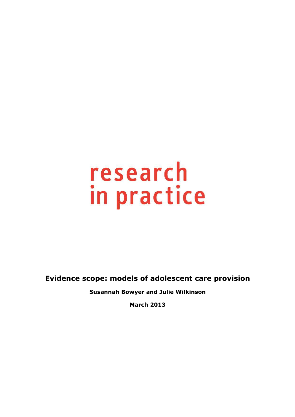**Evidence scope: models of adolescent care provision**

**Susannah Bowyer and Julie Wilkinson** 

**March 2013**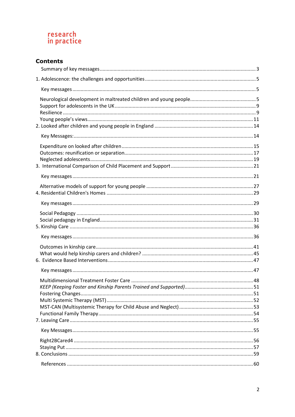# **Contents**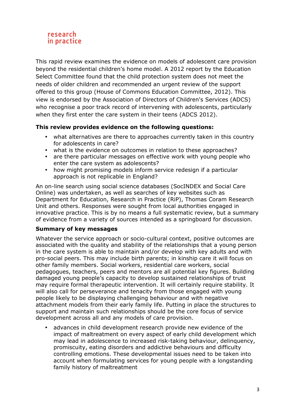This rapid review examines the evidence on models of adolescent care provision beyond the residential children's home model. A 2012 report by the Education Select Committee found that the child protection system does not meet the needs of older children and recommended an urgent review of the support offered to this group (House of Commons Education Committee, 2012). This view is endorsed by the Association of Directors of Children's Services (ADCS) who recognise a poor track record of intervening with adolescents, particularly when they first enter the care system in their teens (ADCS 2012).

# **This review provides evidence on the following questions:**

- what alternatives are there to approaches currently taken in this country for adolescents in care?
- what is the evidence on outcomes in relation to these approaches?
- are there particular messages on effective work with young people who enter the care system as adolescents?
- how might promising models inform service redesign if a particular approach is not replicable in England?

An on-line search using social science databases (SocINDEX and Social Care Online) was undertaken, as well as searches of key websites such as Department for Education, Research in Practice (RiP), Thomas Coram Research Unit and others. Responses were sought from local authorities engaged in innovative practice. This is by no means a full systematic review, but a summary of evidence from a variety of sources intended as a springboard for discussion.

#### **Summary of key messages**

Whatever the service approach or socio-cultural context, positive outcomes are associated with the quality and stability of the relationships that a young person in the care system is able to maintain and/or develop with key adults and with pro-social peers. This may include birth parents; in kinship care it will focus on other family members. Social workers, residential care workers, social pedagogues, teachers, peers and mentors are all potential key figures. Building damaged young people's capacity to develop sustained relationships of trust may require formal therapeutic intervention. It will certainly require stability. It will also call for perseverance and tenacity from those engaged with young people likely to be displaying challenging behaviour and with negative attachment models from their early family life. Putting in place the structures to support and maintain such relationships should be the core focus of service development across all and any models of care provision.

• advances in child development research provide new evidence of the impact of maltreatment on every aspect of early child development which may lead in adolescence to increased risk-taking behaviour, delinquency, promiscuity, eating disorders and addictive behaviours and difficulty controlling emotions. These developmental issues need to be taken into account when formulating services for young people with a longstanding family history of maltreatment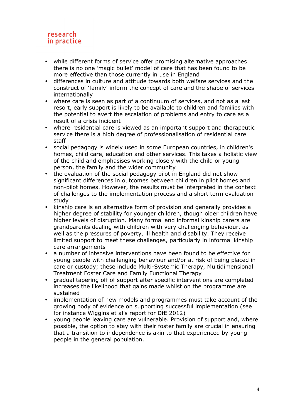- while different forms of service offer promising alternative approaches there is no one 'magic bullet' model of care that has been found to be more effective than those currently in use in England
- differences in culture and attitude towards both welfare services and the construct of 'family' inform the concept of care and the shape of services internationally
- where care is seen as part of a continuum of services, and not as a last resort, early support is likely to be available to children and families with the potential to avert the escalation of problems and entry to care as a result of a crisis incident
- where residential care is viewed as an important support and therapeutic service there is a high degree of professionalisation of residential care staff
- social pedagogy is widely used in some European countries, in children's homes, child care, education and other services. This takes a holistic view of the child and emphasises working closely with the child or young person, the family and the wider community
- the evaluation of the social pedagogy pilot in England did not show significant differences in outcomes between children in pilot homes and non-pilot homes. However, the results must be interpreted in the context of challenges to the implementation process and a short term evaluation study
- kinship care is an alternative form of provision and generally provides a higher degree of stability for younger children, though older children have higher levels of disruption. Many formal and informal kinship carers are grandparents dealing with children with very challenging behaviour, as well as the pressures of poverty, ill health and disability. They receive limited support to meet these challenges, particularly in informal kinship care arrangements
- a number of intensive interventions have been found to be effective for young people with challenging behaviour and/or at risk of being placed in care or custody; these include Multi-Systemic Therapy, Multidimensional Treatment Foster Care and Family Functional Therapy
- gradual tapering off of support after specific interventions are completed increases the likelihood that gains made whilst on the programme are sustained
- implementation of new models and programmes must take account of the growing body of evidence on supporting successful implementation (see for instance Wiggins et al's report for DfE 2012)
- young people leaving care are vulnerable. Provision of support and, where possible, the option to stay with their foster family are crucial in ensuring that a transition to independence is akin to that experienced by young people in the general population.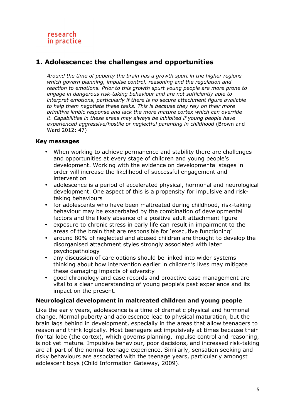# **1. Adolescence: the challenges and opportunities**

*Around the time of puberty the brain has a growth spurt in the higher regions which govern planning, impulse control, reasoning and the regulation and reaction to emotions. Prior to this growth spurt young people are more prone to engage in dangerous risk-taking behaviour and are not sufficiently able to interpret emotions, particularly if there is no secure attachment figure available to help them negotiate these tasks. This is because they rely on their more primitive limbic response and lack the more mature cortex which can override it. Capabilities in these areas may always be inhibited if young people have experienced aggressive/hostile or neglectful parenting in childhood* (Brown and Ward 2012: 47)

#### **Key messages**

- When working to achieve permanence and stability there are challenges and opportunities at every stage of children and young people's development. Working with the evidence on developmental stages in order will increase the likelihood of successful engagement and intervention
- adolescence is a period of accelerated physical, hormonal and neurological development. One aspect of this is a propensity for impulsive and risktaking behaviours
- for adolescents who have been maltreated during childhood, risk-taking behaviour may be exacerbated by the combination of developmental factors and the likely absence of a positive adult attachment figure
- exposure to chronic stress in early life can result in impairment to the areas of the brain that are responsible for 'executive functioning'
- around 80% of neglected and abused children are thought to develop the disorganised attachment styles strongly associated with later psychopathology
- any discussion of care options should be linked into wider systems thinking about how intervention earlier in children's lives may mitigate these damaging impacts of adversity
- good chronology and case records and proactive case management are vital to a clear understanding of young people's past experience and its impact on the present.

#### **Neurological development in maltreated children and young people**

Like the early years, adolescence is a time of dramatic physical and hormonal change. Normal puberty and adolescence lead to physical maturation, but the brain lags behind in development, especially in the areas that allow teenagers to reason and think logically. Most teenagers act impulsively at times because their frontal lobe (the cortex), which governs planning, impulse control and reasoning, is not yet mature. Impulsive behaviour, poor decisions, and increased risk-taking are all part of the normal teenage experience. Similarly, sensation seeking and risky behaviours are associated with the teenage years, particularly amongst adolescent boys (Child Information Gateway, 2009).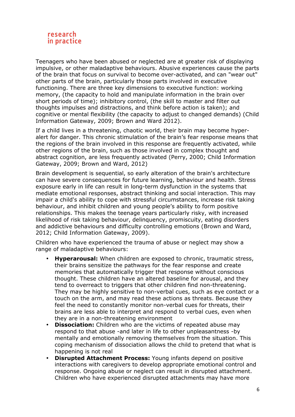

Teenagers who have been abused or neglected are at greater risk of displaying impulsive, or other maladaptive behaviours. Abusive experiences cause the parts of the brain that focus on survival to become over-activated, and can "wear out" other parts of the brain, particularly those parts involved in executive functioning. There are three key dimensions to executive function: working memory, (the capacity to hold and manipulate information in the brain over short periods of time); inhibitory control, (the skill to master and filter out thoughts impulses and distractions, and think before action is taken); and cognitive or mental flexibility (the capacity to adjust to changed demands) (Child Information Gateway, 2009; Brown and Ward 2012).

If a child lives in a threatening, chaotic world, their brain may become hyperalert for danger. This chronic stimulation of the brain's fear response means that the regions of the brain involved in this response are frequently activated, while other regions of the brain, such as those involved in complex thought and abstract cognition, are less frequently activated (Perry, 2000; Child Information Gateway, 2009; Brown and Ward, 2012)

Brain development is sequential, so early alteration of the brain's architecture can have severe consequences for future learning, behaviour and health. Stress exposure early in life can result in long-term dysfunction in the systems that mediate emotional responses, abstract thinking and social interaction. This may impair a child's ability to cope with stressful circumstances, increase risk taking behaviour, and inhibit children and young people's ability to form positive relationships. This makes the teenage years particularly risky, with increased likelihood of risk taking behaviour, delinquency, promiscuity, eating disorders and addictive behaviours and difficulty controlling emotions (Brown and Ward, 2012; Child Information Gateway, 2009).

Children who have experienced the trauma of abuse or neglect may show a range of maladaptive behaviours:

- **Hyperarousal:** When children are exposed to chronic, traumatic stress, their brains sensitize the pathways for the fear response and create memories that automatically trigger that response without conscious thought. These children have an altered baseline for arousal, and they tend to overreact to triggers that other children find non-threatening. They may be highly sensitive to non-verbal cues, such as eye contact or a touch on the arm, and may read these actions as threats. Because they feel the need to constantly monitor non-verbal cues for threats, their brains are less able to interpret and respond to verbal cues, even when they are in a non-threatening environment
- **Dissociation:** Children who are the victims of repeated abuse may respond to that abuse -and later in life to other unpleasantness -by mentally and emotionally removing themselves from the situation. This coping mechanism of dissociation allows the child to pretend that what is happening is not real
- **Disrupted Attachment Process:** Young infants depend on positive interactions with caregivers to develop appropriate emotional control and response. Ongoing abuse or neglect can result in disrupted attachment. Children who have experienced disrupted attachments may have more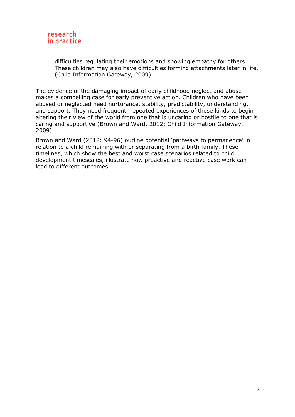

difficulties regulating their emotions and showing empathy for others. These children may also have difficulties forming attachments later in life. (Child Information Gateway, 2009)

The evidence of the damaging impact of early childhood neglect and abuse makes a compelling case for early preventive action. Children who have been abused or neglected need nurturance, stability, predictability, understanding, and support. They need frequent, repeated experiences of these kinds to begin altering their view of the world from one that is uncaring or hostile to one that is caring and supportive (Brown and Ward, 2012; Child Information Gateway, 2009).

Brown and Ward (2012: 94-96) outline potential 'pathways to permanence' in relation to a child remaining with or separating from a birth family. These timelines, which show the best and worst case scenarios related to child development timescales, illustrate how proactive and reactive case work can lead to different outcomes.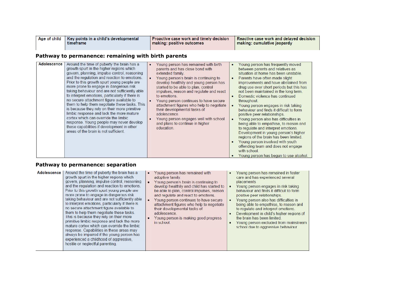| Age of child<br>Key points in a child's developmental<br>timeframe | <b>Proactive case work and timely decision</b><br>making: positive outcomes | Reactive case work and delayed decision<br>making: cumulative jeopardy |
|--------------------------------------------------------------------|-----------------------------------------------------------------------------|------------------------------------------------------------------------|
|--------------------------------------------------------------------|-----------------------------------------------------------------------------|------------------------------------------------------------------------|

# **Pathway to permanence: remaining with birth parents**

| <b>Adolescence</b> | Around the time of puberty the brain has a<br>growth spurt in the higher regions which<br>govern, planning, impulse control, reasoning<br>and the regulation and reaction to emotions.<br>Prior to this growth spurt young people are<br>more prone to engage in dangerous risk<br>taking behaviour and are not sufficiently able<br>to interpret emotions, particularly if there is<br>no secure attachment figure available to<br>them to help them negotiate these tasks. This<br>is because they rely on their more primitive<br>limbic response and lack the more mature<br>cortex which can override the limbic<br>response. Young people may never develop<br>these capabilities if development in other<br>areas of the brain is not sufficient. | Young person has remained with birth<br>$\bullet$<br>parents and has close bond with<br>extended family.<br>Young person's brain is continuing to<br>$\bullet$<br>develop healthily and young person has<br>started to be able to plan, control<br>impulses, reason and regulate and react<br>to emotions.<br>Young person continues to have secure<br>attachment figures who help to negotiate<br>their developmental tasks of<br>adolescence.<br>Young person engages well with school<br>and plans to continue in higher<br>education. | Young person has frequently moved<br>٠<br>between parents and relatives as<br>situation at home has been unstable.<br>Parents have often made slight<br>$\bullet$<br>improvements and have abstained from<br>drug use over short periods but this has<br>not been maintained in the long term.<br>Domestic violence has continued<br>٠<br>throughout.<br>Young person engages in risk taking<br>behaviour and finds it difficult to form<br>positive peer relationships.<br>Young person also has difficulties in<br>$\bullet$<br>being able to empathise, to reason and<br>to regulate and interpret emotions.<br>Development in young person's higher<br>regions of the brain has been limited.<br>Young person involved with youth<br>$\bullet$<br>offending team and does not engage<br>with school.<br>Young person has begun to use alcohol.<br>٠ |
|--------------------|----------------------------------------------------------------------------------------------------------------------------------------------------------------------------------------------------------------------------------------------------------------------------------------------------------------------------------------------------------------------------------------------------------------------------------------------------------------------------------------------------------------------------------------------------------------------------------------------------------------------------------------------------------------------------------------------------------------------------------------------------------|-------------------------------------------------------------------------------------------------------------------------------------------------------------------------------------------------------------------------------------------------------------------------------------------------------------------------------------------------------------------------------------------------------------------------------------------------------------------------------------------------------------------------------------------|---------------------------------------------------------------------------------------------------------------------------------------------------------------------------------------------------------------------------------------------------------------------------------------------------------------------------------------------------------------------------------------------------------------------------------------------------------------------------------------------------------------------------------------------------------------------------------------------------------------------------------------------------------------------------------------------------------------------------------------------------------------------------------------------------------------------------------------------------------|

#### **Pathway to permanence: separation**

| <b>Adolescence</b> | Around the time of puberty the brain has a<br>growth spurt in the higher regions which<br>govern, planning, impulse control, reasoning<br>and the regulation and reaction to emotions.<br>Prior to this growth spurt young people are<br>more prone to engage in dangerous risk<br>taking behaviour and are not sufficiently able<br>to interpret emotions, particularly if there is<br>no secure attachment figure available to<br>them to help them negotiate these tasks.<br>This is because they rely on their more<br>primitive limbic response and lack the more<br>mature cortex which can override the limbic<br>response. Capabilities in these areas may<br>always be impaired if the young person has<br>experienced a childhood of aggressive.<br>hostile or neglectful parenting. | Young person has remained with<br>adoptive family.<br>Young person's brain is continuing to<br>develop healthily and child has started to<br>be able to plan, control impulses, reason<br>and regulate and react to emotions.<br>Young person continues to have secure<br>attachment figures who help to negotiate<br>their developmental tasks of<br>adolescence.<br>Young person is making good progress<br>in school. | Young person has remained in foster<br>care and has experienced several<br>placements<br>Young person engages in risk taking<br>behaviour and finds it difficult to form<br>positive peer relationships.<br>Young person also has difficulties in<br>being able to empathise, to reason and<br>to regulate and interpret emotions.<br>Development in child's higher regions of<br>the brain has been limited.<br>Young person excluded from mainstream<br>school due to aggressive behaviour. |
|--------------------|------------------------------------------------------------------------------------------------------------------------------------------------------------------------------------------------------------------------------------------------------------------------------------------------------------------------------------------------------------------------------------------------------------------------------------------------------------------------------------------------------------------------------------------------------------------------------------------------------------------------------------------------------------------------------------------------------------------------------------------------------------------------------------------------|--------------------------------------------------------------------------------------------------------------------------------------------------------------------------------------------------------------------------------------------------------------------------------------------------------------------------------------------------------------------------------------------------------------------------|-----------------------------------------------------------------------------------------------------------------------------------------------------------------------------------------------------------------------------------------------------------------------------------------------------------------------------------------------------------------------------------------------------------------------------------------------------------------------------------------------|
|--------------------|------------------------------------------------------------------------------------------------------------------------------------------------------------------------------------------------------------------------------------------------------------------------------------------------------------------------------------------------------------------------------------------------------------------------------------------------------------------------------------------------------------------------------------------------------------------------------------------------------------------------------------------------------------------------------------------------------------------------------------------------------------------------------------------------|--------------------------------------------------------------------------------------------------------------------------------------------------------------------------------------------------------------------------------------------------------------------------------------------------------------------------------------------------------------------------------------------------------------------------|-----------------------------------------------------------------------------------------------------------------------------------------------------------------------------------------------------------------------------------------------------------------------------------------------------------------------------------------------------------------------------------------------------------------------------------------------------------------------------------------------|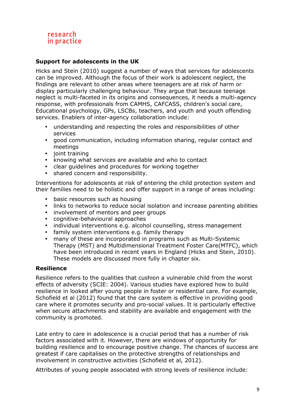# **Support for adolescents in the UK**

Hicks and Stein (2010) suggest a number of ways that services for adolescents can be improved. Although the focus of their work is adolescent neglect, the findings are relevant to other areas where teenagers are at risk of harm or display particularly challenging behaviour. They argue that because teenage neglect is multi-faceted in its origins and consequences, it needs a multi-agency response, with professionals from CAMHS, CAFCASS, children's social care, Educational psychology, GPs, LSCBs, teachers, and youth and youth offending services. Enablers of inter-agency collaboration include:

- understanding and respecting the roles and responsibilities of other services
- good communication, including information sharing, regular contact and meetings
- joint training
- knowing what services are available and who to contact
- clear guidelines and procedures for working together
- shared concern and responsibility.

Interventions for adolescents at risk of entering the child protection system and their families need to be holistic and offer support in a range of areas including:

- basic resources such as housing
- links to networks to reduce social isolation and increase parenting abilities
- involvement of mentors and peer groups
- cognitive-behavioural approaches
- individual interventions e.g. alcohol counselling, stress management
- family system interventions e.g. family therapy
- many of these are incorporated in programs such as Multi-Systemic Therapy (MST) and Multidimensional Treatment Foster Care(MTFC), which have been introduced in recent years in England (Hicks and Stein, 2010). These models are discussed more fully in chapter six.

#### **Resilience**

Resilience refers to the qualities that cushion a vulnerable child from the worst effects of adversity (SCIE: 2004). Various studies have explored how to build resilience in looked after young people in foster or residential care. For example, Schofield et al (2012) found that the care system is effective in providing good care where it promotes security and pro-social values. It is particularly effective when secure attachments and stability are available and engagement with the community is promoted.

Late entry to care in adolescence is a crucial period that has a number of risk factors associated with it. However, there are windows of opportunity for building resilience and to encourage positive change. The chances of success are greatest if care capitalises on the protective strengths of relationships and involvement in constructive activities (Schofield et al, 2012).

Attributes of young people associated with strong levels of resilience include: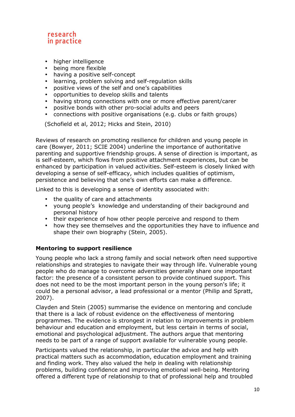

- higher intelligence
- being more flexible<br>• having a positive se
- having a positive self-concept
- learning, problem solving and self-regulation skills
- positive views of the self and one's capabilities
- opportunities to develop skills and talents
- having strong connections with one or more effective parent/carer
- positive bonds with other pro-social adults and peers
- connections with positive organisations (e.g. clubs or faith groups)

(Schofield et al, 2012; Hicks and Stein, 2010)

Reviews of research on promoting resilience for children and young people in care (Bowyer, 2011; SCIE 2004) underline the importance of authoritative parenting and supportive friendship groups. A sense of direction is important, as is self-esteem, which flows from positive attachment experiences, but can be enhanced by participation in valued activities. Self-esteem is closely linked with developing a sense of self-efficacy, which includes qualities of optimism, persistence and believing that one's own efforts can make a difference.

Linked to this is developing a sense of identity associated with:

- the quality of care and attachments
- young people's knowledge and understanding of their background and personal history
- their experience of how other people perceive and respond to them
- how they see themselves and the opportunities they have to influence and shape their own biography (Stein, 2005).

#### **Mentoring to support resilience**

Young people who lack a strong family and social network often need supportive relationships and strategies to navigate their way through life. Vulnerable young people who do manage to overcome adversities generally share one important factor: the presence of a consistent person to provide continued support. This does not need to be the most important person in the young person's life; it could be a personal advisor, a lead professional or a mentor (Philip and Spratt, 2007).

Clayden and Stein (2005) summarise the evidence on mentoring and conclude that there is a lack of robust evidence on the effectiveness of mentoring programmes. The evidence is strongest in relation to improvements in problem behaviour and education and employment, but less certain in terms of social, emotional and psychological adjustment. The authors argue that mentoring needs to be part of a range of support available for vulnerable young people.

Participants valued the relationship, in particular the advice and help with practical matters such as accommodation, education employment and training and finding work. They also valued the help in dealing with relationship problems, building confidence and improving emotional well-being. Mentoring offered a different type of relationship to that of professional help and troubled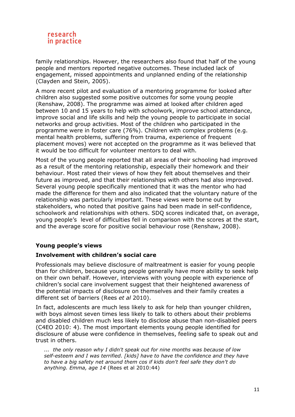

family relationships. However, the researchers also found that half of the young people and mentors reported negative outcomes. These included lack of engagement, missed appointments and unplanned ending of the relationship (Clayden and Stein, 2005).

A more recent pilot and evaluation of a mentoring programme for looked after children also suggested some positive outcomes for some young people (Renshaw, 2008). The programme was aimed at looked after children aged between 10 and 15 years to help with schoolwork, improve school attendance, improve social and life skills and help the young people to participate in social networks and group activities. Most of the children who participated in the programme were in foster care (76%). Children with complex problems (e.g. mental health problems, suffering from trauma, experience of frequent placement moves) were not accepted on the programme as it was believed that it would be too difficult for volunteer mentors to deal with.

Most of the young people reported that all areas of their schooling had improved as a result of the mentoring relationship, especially their homework and their behaviour. Most rated their views of how they felt about themselves and their future as improved, and that their relationships with others had also improved. Several young people specifically mentioned that it was the mentor who had made the difference for them and also indicated that the voluntary nature of the relationship was particularly important. These views were borne out by stakeholders, who noted that positive gains had been made in self-confidence, schoolwork and relationships with others. SDQ scores indicated that, on average, young people's level of difficulties fell in comparison with the scores at the start, and the average score for positive social behaviour rose (Renshaw, 2008).

#### **Young people's views**

#### **Involvement with children's social care**

Professionals may believe disclosure of maltreatment is easier for young people than for children, because young people generally have more ability to seek help on their own behalf. However, interviews with young people with experience of children's social care involvement suggest that their heightened awareness of the potential impacts of disclosure on themselves and their family creates a different set of barriers (Rees *et al* 2010).

In fact, adolescents are much less likely to ask for help than younger children, with boys almost seven times less likely to talk to others about their problems and disabled children much less likely to disclose abuse than non-disabled peers (C4EO 2010: 4). The most important elements young people identified for disclosure of abuse were confidence in themselves, feeling safe to speak out and trust in others.

*... the only reason why I didn't speak out for nine months was because of low self-esteem and I was terrified. [kids] have to have the confidence and they have to have a big safety net around them cos if kids don't feel safe they don't do anything. Emma, age 14* (Rees et al 2010:44)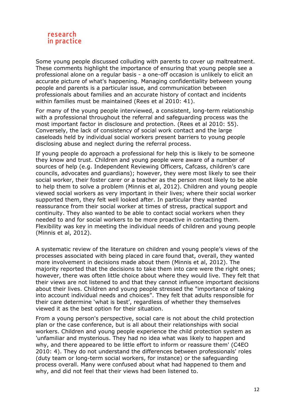

Some young people discussed colluding with parents to cover up maltreatment. These comments highlight the importance of ensuring that young people see a professional alone on a regular basis - a one-off occasion is unlikely to elicit an accurate picture of what's happening. Managing confidentiality between young people and parents is a particular issue, and communication between professionals about families and an accurate history of contact and incidents within families must be maintained (Rees et al 2010: 41).

For many of the young people interviewed, a consistent, long-term relationship with a professional throughout the referral and safeguarding process was the most important factor in disclosure and protection. (Rees et al 2010: 55). Conversely, the lack of consistency of social work contact and the large caseloads held by individual social workers present barriers to young people disclosing abuse and neglect during the referral process.

If young people do approach a professional for help this is likely to be someone they know and trust. Children and young people were aware of a number of sources of help (e.g. Independent Reviewing Officers, Cafcass, children's care councils, advocates and guardians); however, they were most likely to see their social worker, their foster carer or a teacher as the person most likely to be able to help them to solve a problem (Minnis et al, 2012). Children and young people viewed social workers as very important in their lives; where their social worker supported them, they felt well looked after. In particular they wanted reassurance from their social worker at times of stress, practical support and continuity. They also wanted to be able to contact social workers when they needed to and for social workers to be more proactive in contacting them. Flexibility was key in meeting the individual needs of children and young people (Minnis et al, 2012).

A systematic review of the literature on children and young people's views of the processes associated with being placed in care found that, overall, they wanted more involvement in decisions made about them (Minnis et al, 2012). The majority reported that the decisions to take them into care were the right ones; however, there was often little choice about where they would live. They felt that their views are not listened to and that they cannot influence important decisions about their lives. Children and young people stressed the "importance of taking into account individual needs and choices". They felt that adults responsible for their care determine 'what is best', regardless of whether they themselves viewed it as the best option for their situation.

From a young person's perspective, social care is not about the child protection plan or the case conference, but is all about their relationships with social workers. Children and young people experience the child protection system as 'unfamiliar and mysterious. They had no idea what was likely to happen and why, and there appeared to be little effort to inform or reassure them' (C4EO 2010: 4). They do not understand the differences between professionals' roles (duty team or long-term social workers, for instance) or the safeguarding process overall. Many were confused about what had happened to them and why, and did not feel that their views had been listened to.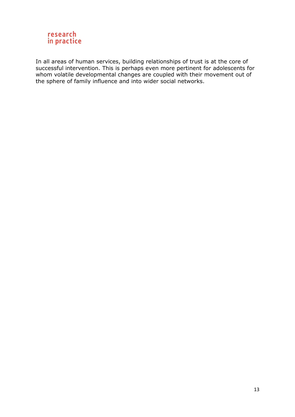

In all areas of human services, building relationships of trust is at the core of successful intervention. This is perhaps even more pertinent for adolescents for whom volatile developmental changes are coupled with their movement out of the sphere of family influence and into wider social networks.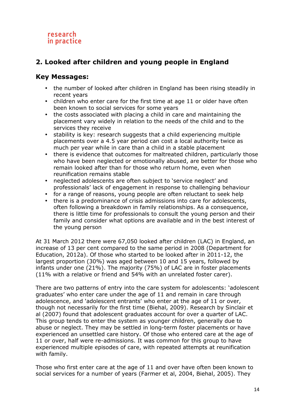# **2. Looked after children and young people in England**

# **Key Messages:**

- the number of looked after children in England has been rising steadily in recent years
- children who enter care for the first time at age 11 or older have often been known to social services for some years
- the costs associated with placing a child in care and maintaining the placement vary widely in relation to the needs of the child and to the services they receive
- stability is key: research suggests that a child experiencing multiple placements over a 4.5 year period can cost a local authority twice as much per year while in care than a child in a stable placement
- there is evidence that outcomes for maltreated children, particularly those who have been neglected or emotionally abused, are better for those who remain looked after than for those who return home, even when reunification remains stable
- neglected adolescents are often subject to 'service neglect' and professionals' lack of engagement in response to challenging behaviour
- for a range of reasons, young people are often reluctant to seek help
- there is a predominance of crisis admissions into care for adolescents, often following a breakdown in family relationships. As a consequence, there is little time for professionals to consult the young person and their family and consider what options are available and in the best interest of the young person

At 31 March 2012 there were 67,050 looked after children (LAC) in England, an increase of 13 per cent compared to the same period in 2008 (Department for Education, 2012a). Of those who started to be looked after in 2011-12, the largest proportion (30%) was aged between 10 and 15 years, followed by infants under one (21%). The majority (75%) of LAC are in foster placements (11% with a relative or friend and 54% with an unrelated foster carer).

There are two patterns of entry into the care system for adolescents: 'adolescent graduates' who enter care under the age of 11 and remain in care through adolescence, and 'adolescent entrants' who enter at the age of 11 or over, though not necessarily for the first time (Biehal, 2009). Research by Sinclair et al (2007) found that adolescent graduates account for over a quarter of LAC. This group tends to enter the system as younger children, generally due to abuse or neglect. They may be settled in long-term foster placements or have experienced an unsettled care history. Of those who entered care at the age of 11 or over, half were re-admissions. It was common for this group to have experienced multiple episodes of care, with repeated attempts at reunification with family.

Those who first enter care at the age of 11 and over have often been known to social services for a number of years (Farmer et al, 2004, Biehal, 2005). They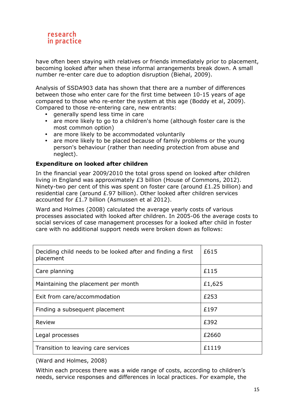

have often been staying with relatives or friends immediately prior to placement, becoming looked after when these informal arrangements break down. A small number re-enter care due to adoption disruption (Biehal, 2009).

Analysis of SSDA903 data has shown that there are a number of differences between those who enter care for the first time between 10-15 years of age compared to those who re-enter the system at this age (Boddy et al, 2009). Compared to those re-entering care, new entrants:

- generally spend less time in care
- are more likely to go to a children's home (although foster care is the most common option)
- are more likely to be accommodated voluntarily
- are more likely to be placed because of family problems or the young person's behaviour (rather than needing protection from abuse and neglect).

#### **Expenditure on looked after children**

In the financial year 2009/2010 the total gross spend on looked after children living in England was approximately £3 billion (House of Commons, 2012). Ninety-two per cent of this was spent on foster care (around £1.25 billion) and residential care (around £.97 billion). Other looked after children services accounted for £1.7 billion (Asmussen et al 2012).

Ward and Holmes (2008) calculated the average yearly costs of various processes associated with looked after children. In 2005-06 the average costs to social services of case management processes for a looked after child in foster care with no additional support needs were broken down as follows:

| Deciding child needs to be looked after and finding a first<br>placement | £615   |
|--------------------------------------------------------------------------|--------|
| Care planning                                                            | £115   |
| Maintaining the placement per month                                      | £1,625 |
| Exit from care/accommodation                                             | £253   |
| Finding a subsequent placement                                           | £197   |
| Review                                                                   | £392   |
| Legal processes                                                          | £2660  |
| Transition to leaving care services                                      | £1119  |

(Ward and Holmes, 2008)

Within each process there was a wide range of costs, according to children's needs, service responses and differences in local practices. For example, the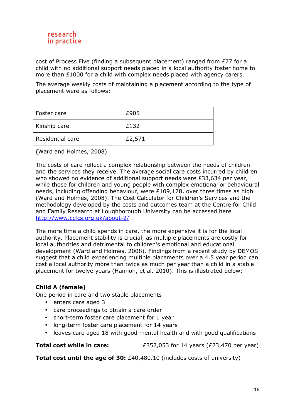

cost of Process Five (finding a subsequent placement) ranged from £77 for a child with no additional support needs placed in a local authority foster home to more than £1000 for a child with complex needs placed with agency carers.

The average weekly costs of maintaining a placement according to the type of placement were as follows:

| Foster care        | £905   |
|--------------------|--------|
| Kinship care       | £132   |
| l Residential care | £2,571 |

(Ward and Holmes, 2008)

The costs of care reflect a complex relationship between the needs of children and the services they receive. The average social care costs incurred by children who showed no evidence of additional support needs were £33,634 per year, while those for children and young people with complex emotional or behavioural needs, including offending behaviour, were £109,178, over three times as high (Ward and Holmes, 2008). The Cost Calculator for Children's Services and the methodology developed by the costs and outcomes team at the Centre for Child and Family Research at Loughborough University can be accessed here http://www.ccfcs.org.uk/about-2/ .

The more time a child spends in care, the more expensive it is for the local authority. Placement stability is crucial, as multiple placements are costly for local authorities and detrimental to children's emotional and educational development (Ward and Holmes, 2008). Findings from a recent study by DEMOS suggest that a child experiencing multiple placements over a 4.5 year period can cost a local authority more than twice as much per year than a child in a stable placement for twelve years (Hannon, et al. 2010). This is illustrated below:

#### **Child A (female)**

One period in care and two stable placements

- enters care aged 3
- care proceedings to obtain a care order
- short-term foster care placement for 1 year
- long-term foster care placement for 14 years
- leaves care aged 18 with good mental health and with good qualifications

**Total cost while in care:**  $£352,053$  for 14 years (£23,470 per year)

**Total cost until the age of 30:** £40,480.10 (includes costs of university)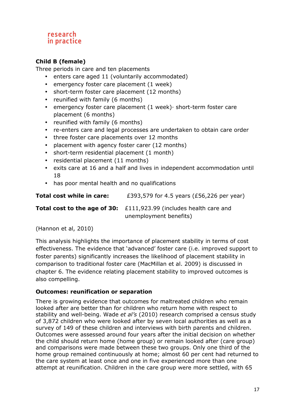# **Child B (female)**

Three periods in care and ten placements

- enters care aged 11 (voluntarily accommodated)
- emergency foster care placement (1 week)
- short-term foster care placement (12 months)
- reunified with family (6 months)
- emergency foster care placement (1 week)· short-term foster care placement (6 months)
- reunified with family (6 months)
- re-enters care and legal processes are undertaken to obtain care order
- three foster care placements over 12 months
- placement with agency foster carer (12 months)
- short-term residential placement (1 month)
- residential placement (11 months)
- exits care at 16 and a half and lives in independent accommodation until 18
- has poor mental health and no qualifications

| Total cost while in care: | £393,579 for 4.5 years (£56,226 per year) |
|---------------------------|-------------------------------------------|
|---------------------------|-------------------------------------------|

**Total cost to the age of 30:** £111,923.99 (includes health care and unemployment benefits)

(Hannon et al, 2010)

This analysis highlights the importance of placement stability in terms of cost effectiveness. The evidence that 'advanced' foster care (i.e. improved support to foster parents) significantly increases the likelihood of placement stability in comparison to traditional foster care (MacMillan et al. 2009) is discussed in chapter 6. The evidence relating placement stability to improved outcomes is also compelling.

#### **Outcomes: reunification or separation**

There is growing evidence that outcomes for maltreated children who remain looked after are better than for children who return home with respect to stability and well-being. Wade *et al's* (2010) research comprised a census study of 3,872 children who were looked after by seven local authorities as well as a survey of 149 of these children and interviews with birth parents and children. Outcomes were assessed around four years after the initial decision on whether the child should return home (home group) or remain looked after (care group) and comparisons were made between these two groups. Only one third of the home group remained continuously at home; almost 60 per cent had returned to the care system at least once and one in five experienced more than one attempt at reunification. Children in the care group were more settled, with 65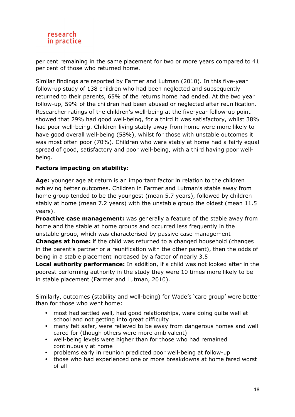per cent remaining in the same placement for two or more years compared to 41 per cent of those who returned home.

Similar findings are reported by Farmer and Lutman (2010). In this five-year follow-up study of 138 children who had been neglected and subsequently returned to their parents, 65% of the returns home had ended. At the two year follow-up, 59% of the children had been abused or neglected after reunification. Researcher ratings of the children's well-being at the five-year follow-up point showed that 29% had good well-being, for a third it was satisfactory, whilst 38% had poor well-being. Children living stably away from home were more likely to have good overall well-being (58%), whilst for those with unstable outcomes it was most often poor (70%). Children who were stably at home had a fairly equal spread of good, satisfactory and poor well-being, with a third having poor wellbeing.

# **Factors impacting on stability:**

**Age:** younger age at return is an important factor in relation to the children achieving better outcomes. Children in Farmer and Lutman's stable away from home group tended to be the youngest (mean 5.7 years), followed by children stably at home (mean 7.2 years) with the unstable group the oldest (mean 11.5 years).

**Proactive case management:** was generally a feature of the stable away from home and the stable at home groups and occurred less frequently in the unstable group, which was characterised by passive case management

**Changes at home:** if the child was returned to a changed household (changes in the parent's partner or a reunification with the other parent), then the odds of being in a stable placement increased by a factor of nearly 3.5

**Local authority performance:** In addition, if a child was not looked after in the poorest performing authority in the study they were 10 times more likely to be in stable placement (Farmer and Lutman, 2010).

Similarly, outcomes (stability and well-being) for Wade's 'care group' were better than for those who went home:

- most had settled well, had good relationships, were doing quite well at school and not getting into great difficulty
- many felt safer, were relieved to be away from dangerous homes and well cared for (though others were more ambivalent)
- well-being levels were higher than for those who had remained continuously at home
- problems early in reunion predicted poor well-being at follow-up
- those who had experienced one or more breakdowns at home fared worst of all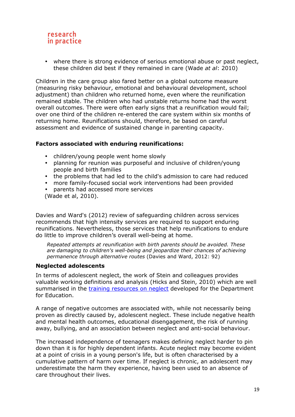

• where there is strong evidence of serious emotional abuse or past neglect, these children did best if they remained in care (Wade *at al*: 2010)

Children in the care group also fared better on a global outcome measure (measuring risky behaviour, emotional and behavioural development, school adjustment) than children who returned home, even where the reunification remained stable. The children who had unstable returns home had the worst overall outcomes. There were often early signs that a reunification would fail; over one third of the children re-entered the care system within six months of returning home. Reunifications should, therefore, be based on careful assessment and evidence of sustained change in parenting capacity.

#### **Factors associated with enduring reunifications:**

- children/young people went home slowly
- planning for reunion was purposeful and inclusive of children/young people and birth families
- the problems that had led to the child's admission to care had reduced
- more family-focused social work interventions had been provided
- parents had accessed more services (Wade et al, 2010).

Davies and Ward's (2012) review of safeguarding children across services recommends that high intensity services are required to support enduring reunifications. Nevertheless, those *s*ervices that help reunifications to endure do little to improve children's overall well-being at home.

*Repeated attempts at reunification with birth parents should be avoided. These are damaging to children's well-being and jeopardize their chances of achieving permanence through alternative routes* (Davies and Ward, 2012: 92)

#### **Neglected adolescents**

In terms of adolescent neglect, the work of Stein and colleagues provides valuable working definitions and analysis (Hicks and Stein, 2010) which are well summarised in the training resources on neglect developed for the Department for Education.

A range of negative outcomes are associated with, while not necessarily being proven as directly caused by, adolescent neglect. These include negative health and mental health outcomes, educational disengagement, the risk of running away, bullying, and an association between neglect and anti-social behaviour.

The increased independence of teenagers makes defining neglect harder to pin down than it is for highly dependent infants. Acute neglect may become evident at a point of crisis in a young person's life, but is often characterised by a cumulative pattern of harm over time. If neglect is chronic, an adolescent may underestimate the harm they experience, having been used to an absence of care throughout their lives.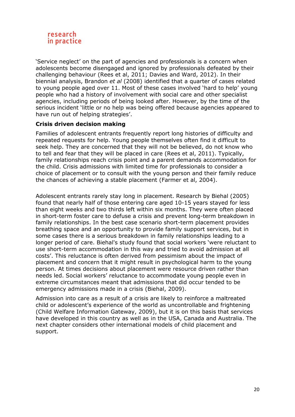

'Service neglect' on the part of agencies and professionals is a concern when adolescents become disengaged and ignored by professionals defeated by their challenging behaviour (Rees et al, 2011; Davies and Ward, 2012). In their biennial analysis, Brandon *et al* (2008) identified that a quarter of cases related to young people aged over 11. Most of these cases involved 'hard to help' young people who had a history of involvement with social care and other specialist agencies, including periods of being looked after. However, by the time of the serious incident 'little or no help was being offered because agencies appeared to have run out of helping strategies'.

# **Crisis driven decision making**

Families of adolescent entrants frequently report long histories of difficulty and repeated requests for help. Young people themselves often find it difficult to seek help. They are concerned that they will not be believed, do not know who to tell and fear that they will be placed in care (Rees et al, 2011). Typically, family relationships reach crisis point and a parent demands accommodation for the child. Crisis admissions with limited time for professionals to consider a choice of placement or to consult with the young person and their family reduce the chances of achieving a stable placement (Farmer et al, 2004).

Adolescent entrants rarely stay long in placement. Research by Biehal (2005) found that nearly half of those entering care aged 10-15 years stayed for less than eight weeks and two thirds left within six months. They were often placed in short-term foster care to defuse a crisis and prevent long-term breakdown in family relationships. In the best case scenario short-term placement provides breathing space and an opportunity to provide family support services, but in some cases there is a serious breakdown in family relationships leading to a longer period of care. Biehal's study found that social workers 'were reluctant to use short-term accommodation in this way and tried to avoid admission at all costs'. This reluctance is often derived from pessimism about the impact of placement and concern that it might result in psychological harm to the young person. At times decisions about placement were resource driven rather than needs led. Social workers' reluctance to accommodate young people even in extreme circumstances meant that admissions that did occur tended to be emergency admissions made in a crisis (Biehal, 2009).

Admission into care as a result of a crisis are likely to reinforce a maltreated child or adolescent's experience of the world as uncontrollable and frightening (Child Welfare Information Gateway, 2009), but it is on this basis that services have developed in this country as well as in the USA, Canada and Australia. The next chapter considers other international models of child placement and support.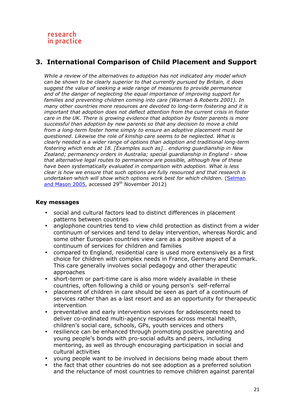# **3. International Comparison of Child Placement and Support**

*While a review of the alternatives to adoption has not indicated any model which can be shown to be clearly superior to that currently pursued by Britain, it does suggest the value of seeking a wide range of measures to provide permanence and of the danger of neglecting the equal importance of improving support for families and preventing children coming into care (Warman & Roberts 2001). In many other countries more resources are devoted to long-term fostering and it is important that adoption does not deflect attention from the current crisis in foster care in the UK. There is growing evidence that adoption by foster parents is more successful than adoption by new parents so that any decision to move a child from a long-term foster home simply to ensure an adoptive placement must be questioned. Likewise the role of kinship care seems to be neglected. What is clearly needed is a wider range of options than adoption and traditional long-term fostering which ends at 18. [Examples such as]… enduring guardianship in New Zealand; permanency orders in Australia; special guardianship in England - show that alternative legal routes to permanence are possible, although few of these have been systematically evaluated in comparison with adoption. What is less clear is how we ensure that such options are fully resourced and that research is undertaken which will show which options work best for which children.* (Selman and Mason 2005, accessed 29<sup>th</sup> November 2012)

#### **Key messages**

- social and cultural factors lead to distinct differences in placement patterns between countries
- anglophone countries tend to view child protection as distinct from a wider continuum of services and tend to delay intervention, whereas Nordic and some other European countries view care as a positive aspect of a continuum of services for children and families
- compared to England, residential care is used more extensively as a first choice for children with complex needs in France, Germany and Denmark. This care generally involves social pedagogy and other therapeutic approaches
- short-term or part-time care is also more widely available in these countries, often following a child or young person's self-referral
- placement of children in care should be seen as part of a continuum of services rather than as a last resort and as an opportunity for therapeutic intervention
- preventative and early intervention services for adolescents need to deliver co-ordinated multi-agency responses across mental health, children's social care, schools, GPs, youth services and others
- resilience can be enhanced through promoting positive parenting and young people's bonds with pro-social adults and peers, including mentoring, as well as through encouraging participation in social and cultural activities
- young people want to be involved in decisions being made about them
- the fact that other countries do not see adoption as a preferred solution and the reluctance of most countries to remove children against parental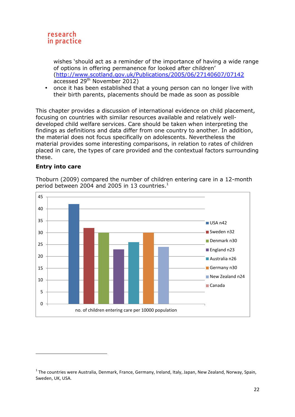

wishes 'should act as a reminder of the importance of having a wide range of options in offering permanence for looked after children' (http://www.scotland.gov.uk/Publications/2005/06/27140607/07142 accessed 29th November 2012)

• once it has been established that a young person can no longer live with their birth parents, placements should be made as soon as possible

This chapter provides a discussion of international evidence on child placement, focusing on countries with similar resources available and relatively welldeveloped child welfare services. Care should be taken when interpreting the findings as definitions and data differ from one country to another. In addition, the material does not focus specifically on adolescents. Nevertheless the material provides some interesting comparisons, in relation to rates of children placed in care, the types of care provided and the contextual factors surrounding these.

#### **Entry into care**

l



Thoburn (2009) compared the number of children entering care in a 12-month period between 2004 and 2005 in 13 countries. $^1$ 

<sup>&</sup>lt;sup>1</sup> The countries were Australia, Denmark, France, Germany, Ireland, Italy, Japan, New Zealand, Norway, Spain, Sweden, UK, USA.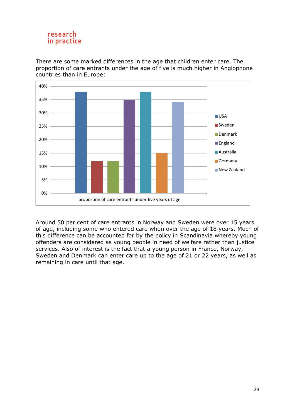There are some marked differences in the age that children enter care. The proportion of care entrants under the age of five is much higher in Anglophone countries than in Europe:



Around 50 per cent of care entrants in Norway and Sweden were over 15 years of age, including some who entered care when over the age of 18 years. Much of this difference can be accounted for by the policy in Scandinavia whereby young offenders are considered as young people in need of welfare rather than justice services. Also of interest is the fact that a young person in France, Norway, Sweden and Denmark can enter care up to the age of 21 or 22 years, as well as remaining in care until that age.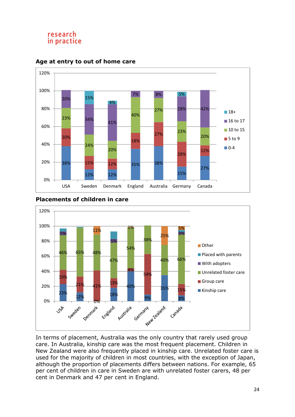

#### **Age at entry to out of home care**

#### **Placements of children in care**



In terms of placement, Australia was the only country that rarely used group care. In Australia, kinship care was the most frequent placement. Children in New Zealand were also frequently placed in kinship care. Unrelated foster care is used for the majority of children in most countries, with the exception of Japan, although the proportion of placements differs between nations. For example, 65 per cent of children in care in Sweden are with unrelated foster carers, 48 per cent in Denmark and 47 per cent in England.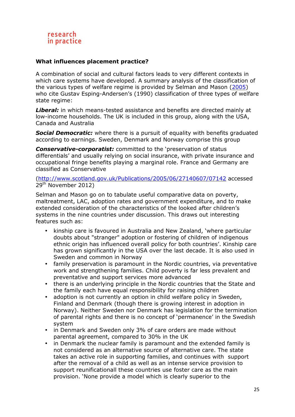#### **What influences placement practice?**

A combination of social and cultural factors leads to very different contexts in which care systems have developed. A summary analysis of the classification of the various types of welfare regime is provided by Selman and Mason (2005) who cite Gustav Esping-Andersen's (1990) classification of three types of welfare state regime:

**Liberal:** in which means-tested assistance and benefits are directed mainly at low-income households. The UK is included in this group, along with the USA, Canada and Australia

**Social Democratic:** where there is a pursuit of equality with benefits graduated according to earnings. Sweden, Denmark and Norway comprise this group

*Conservative-corporatist:* committed to the 'preservation of status differentials' and usually relying on social insurance, with private insurance and occupational fringe benefits playing a marginal role. France and Germany are classified as Conservative

(http://www.scotland.gov.uk/Publications/2005/06/27140607/07142 accessed 29<sup>th</sup> November 2012)

Selman and Mason go on to tabulate useful comparative data on poverty, maltreatment, LAC, adoption rates and government expenditure, and to make extended consideration of the characteristics of the looked after children's systems in the nine countries under discussion. This draws out interesting features such as:

- kinship care is favoured in Australia and New Zealand, 'where particular doubts about "stranger" adoption or fostering of children of indigenous ethnic origin has influenced overall policy for both countries'. Kinship care has grown significantly in the USA over the last decade. It is also used in Sweden and common in Norway
- family preservation is paramount in the Nordic countries, via preventative work and strengthening families. Child poverty is far less prevalent and preventative and support services more advanced
- there is an underlying principle in the Nordic countries that the State and the family each have equal responsibility for raising children
- adoption is not currently an option in child welfare policy in Sweden, Finland and Denmark (though there is growing interest in adoption in Norway). Neither Sweden nor Denmark has legislation for the termination of parental rights and there is no concept of 'permanence' in the Swedish system
- in Denmark and Sweden only 3% of care orders are made without parental agreement, compared to 30% in the UK
- in Denmark the nuclear family is paramount and the extended family is not considered as an alternative source of alternative care. The state takes an active role in supporting families, and continues with support after the removal of a child as well as an intense service provision to support reunificationall these countries use foster care as the main provision. 'None provide a model which is clearly superior to the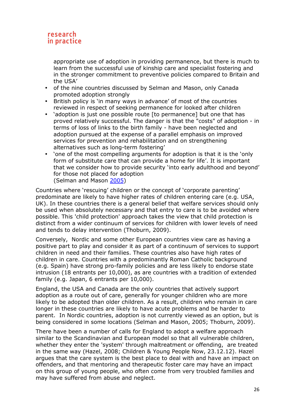appropriate use of adoption in providing permanence, but there is much to learn from the successful use of kinship care and specialist fostering and in the stronger commitment to preventive policies compared to Britain and the USA'

- of the nine countries discussed by Selman and Mason, only Canada promoted adoption strongly
- British policy is 'in many ways in advance' of most of the countries reviewed in respect of seeking permanence for looked after children
- 'adoption is just one possible route [to permanence] but one that has proved relatively successful. The danger is that the "costs" of adoption - in terms of loss of links to the birth family - have been neglected and adoption pursued at the expense of a parallel emphasis on improved services for prevention and rehabilitation and on strengthening alternatives such as long-term fostering'
- 'one of the most compelling arguments for adoption is that it is the 'only form of substitute care that can provide a home for life'. It is important that we consider how to provide security 'into early adulthood and beyond' for those not placed for adoption (Selman and Mason 2005)

Countries where 'rescuing' children or the concept of 'corporate parenting' predominate are likely to have higher rates of children entering care (e.g. USA, UK). In these countries there is a general belief that welfare services should only be used when absolutely necessary and that entry to care is to be avoided where possible. This 'child protection' approach takes the view that child protection is distinct from a wider continuum of services for children with lower levels of need and tends to delay intervention (Thoburn, 2009).

Conversely, Nordic and some other European countries view care as having a positive part to play and consider it as part of a continuum of services to support children in need and their families. These countries also have high rates of children in care. Countries with a predominantly Roman Catholic background (e.g. Spain) have strong pro-family policies and are less likely to endorse state intrusion (18 entrants per 10,000), as are countries with a tradition of extended family (e.g. Japan, 6 entrants per 10,000).

England, the USA and Canada are the only countries that actively support adoption as a route out of care, generally for younger children who are more likely to be adopted than older children. As a result, children who remain in care longer in these countries are likely to have acute problems and be harder to parent. In Nordic countries, adoption is not currently viewed as an option, but is being considered in some locations (Selman and Mason, 2005; Thoburn, 2009).

There have been a number of calls for England to adopt a welfare approach similar to the Scandinavian and European model so that all vulnerable children, whether they enter the 'system' through maltreatment or offending, are treated in the same way (Hazel, 2008; Children & Young People Now, 23.12.12). Hazel argues that the care system is the best place to deal with and have an impact on offenders, and that mentoring and therapeutic foster care may have an impact on this group of young people, who often come from very troubled families and may have suffered from abuse and neglect.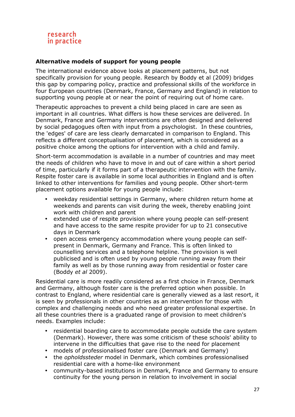# **Alternative models of support for young people**

The international evidence above looks at placement patterns, but not specifically provision for young people. Research by Boddy et al (2009) bridges this gap by comparing policy, practice and professional skills of the workforce in four European countries (Denmark, France, Germany and England) in relation to supporting young people at or near the point of requiring out of home care.

Therapeutic approaches to prevent a child being placed in care are seen as important in all countries. What differs is how these services are delivered. In Denmark, France and Germany interventions are often designed and delivered by social pedagogues often with input from a psychologist. In these countries, the 'edges' of care are less clearly demarcated in comparison to England. This reflects a different conceptualisation of placement, which is considered as a positive choice among the options for intervention with a child and family.

Short-term accommodation is available in a number of countries and may meet the needs of children who have to move in and out of care within a short period of time, particularly if it forms part of a therapeutic intervention with the family. Respite foster care is available in some local authorities in England and is often linked to other interventions for families and young people. Other short-term placement options available for young people include:

- weekday residential settings in Germany, where children return home at weekends and parents can visit during the week, thereby enabling joint work with children and parent
- extended use of respite provision where young people can self-present and have access to the same respite provider for up to 21 consecutive days in Denmark
- open access emergency accommodation where young people can selfpresent in Denmark, Germany and France. This is often linked to counselling services and a telephone helpline. The provision is well publicised and is often used by young people running away from their family as well as by those running away from residential or foster care (Boddy *et al* 2009).

Residential care is more readily considered as a first choice in France, Denmark and Germany, although foster care is the preferred option when possible. In contrast to England, where residential care is generally viewed as a last resort, it is seen by professionals in other countries as an intervention for those with complex and challenging needs and who need greater professional expertise. In all these countries there is a graduated range of provision to meet children's needs. Examples include:

- residential boarding care to accommodate people outside the care system (Denmark). However, there was some criticism of these schools' ability to intervene in the difficulties that gave rise to the need for placement
- models of professionalised foster care (Denmark and Germany)
- the *opholdssteder* model in Denmark, which combines professionalised residential care with a home-like environment
- community-based institutions in Denmark, France and Germany to ensure continuity for the young person in relation to involvement in social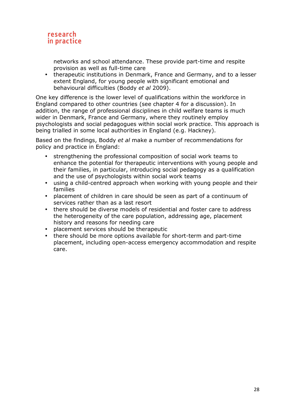

networks and school attendance. These provide part-time and respite provision as well as full-time care

• therapeutic institutions in Denmark, France and Germany, and to a lesser extent England, for young people with significant emotional and behavioural difficulties (Boddy *et al* 2009).

One key difference is the lower level of qualifications within the workforce in England compared to other countries (see chapter 4 for a discussion). In addition, the range of professional disciplines in child welfare teams is much wider in Denmark, France and Germany, where they routinely employ psychologists and social pedagogues within social work practice. This approach is being trialled in some local authorities in England (e.g. Hackney).

Based on the findings, Boddy *et al* make a number of recommendations for policy and practice in England:

- strengthening the professional composition of social work teams to enhance the potential for therapeutic interventions with young people and their families, in particular, introducing social pedagogy as a qualification and the use of psychologists within social work teams
- using a child-centred approach when working with young people and their families
- placement of children in care should be seen as part of a continuum of services rather than as a last resort
- there should be diverse models of residential and foster care to address the heterogeneity of the care population, addressing age, placement history and reasons for needing care
- placement services should be therapeutic
- there should be more options available for short-term and part-time placement, including open-access emergency accommodation and respite care.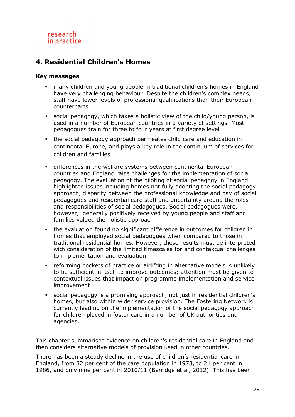# **4. Residential Children's Homes**

#### **Key messages**

- many children and young people in traditional children's homes in England have very challenging behaviour. Despite the children's complex needs, staff have lower levels of professional qualifications than their European counterparts
- social pedagogy, which takes a holistic view of the child/young person, is used in a number of European countries in a variety of settings. Most pedagogues train for three to four years at first degree level
- the social pedagogy approach permeates child care and education in continental Europe, and plays a key role in the continuum of services for children and families
- differences in the welfare systems between continental European countries and England raise challenges for the implementation of social pedagogy. The evaluation of the piloting of social pedagogy in England highlighted issues including homes not fully adopting the social pedagogy approach, disparity between the professional knowledge and pay of social pedagogues and residential care staff and uncertainty around the roles and responsibilities of social pedagogues. Social pedagogues were, however, generally positively received by young people and staff and families valued the holistic approach
- the evaluation found no significant difference in outcomes for children in homes that employed social pedagogues when compared to those in traditional residential homes. However, these results must be interpreted with consideration of the limited timescales for and contextual challenges to implementation and evaluation
- reforming pockets of practice or airlifting in alternative models is unlikely to be sufficient in itself to improve outcomes; attention must be given to contextual issues that impact on programme implementation and service improvement
- social pedagogy is a promising approach, not just in residential children's homes, but also within wider service provision. The Fostering Network is currently leading on the implementation of the social pedagogy approach for children placed in foster care in a number of UK authorities and agencies.

This chapter summarises evidence on children's residential care in England and then considers alternative models of provision used in other countries.

There has been a steady decline in the use of children's residential care in England, from 32 per cent of the care population in 1978, to 21 per cent in 1986, and only nine per cent in 2010/11 (Berridge et al, 2012). This has been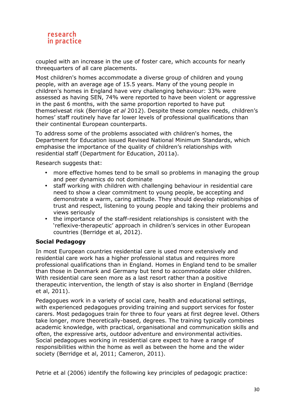

coupled with an increase in the use of foster care, which accounts for nearly threequarters of all care placements.

Most children's homes accommodate a diverse group of children and young people, with an average age of 15.5 years. Many of the young people in children's homes in England have very challenging behaviour: 33% were assessed as having SEN, 74% were reported to have been violent or aggressive in the past 6 months, with the same proportion reported to have put themselvesat risk (Berridge *et al* 2012). Despite these complex needs, children's homes' staff routinely have far lower levels of professional qualifications than their continental European counterparts.

To address some of the problems associated with children's homes, the Department for Education issued Revised National Minimum Standards, which emphasise the importance of the quality of children's relationships with residential staff (Department for Education, 2011a).

Research suggests that:

- more effective homes tend to be small so problems in managing the group and peer dynamics do not dominate
- staff working with children with challenging behaviour in residential care need to show a clear commitment to young people, be accepting and demonstrate a warm, caring attitude. They should develop relationships of trust and respect, listening to young people and taking their problems and views seriously
- the importance of the staff-resident relationships is consistent with the 'reflexive-therapeutic' approach in children's services in other European countries (Berridge et al, 2012).

#### **Social Pedagogy**

In most European countries residential care is used more extensively and residential care work has a higher professional status and requires more professional qualifications than in England. Homes in England tend to be smaller than those in Denmark and Germany but tend to accommodate older children. With residential care seen more as a last resort rather than a positive therapeutic intervention, the length of stay is also shorter in England (Berridge et al, 2011).

Pedagogues work in a variety of social care, health and educational settings, with experienced pedagogues providing training and support services for foster carers. Most pedagogues train for three to four years at first degree level. Others take longer, more theoretically-based, degrees. The training typically combines academic knowledge, with practical, organisational and communication skills and often, the expressive arts, outdoor adventure and environmental activities. Social pedagogues working in residential care expect to have a range of responsibilities within the home as well as between the home and the wider society (Berridge et al, 2011; Cameron, 2011).

Petrie et al (2006) identify the following key principles of pedagogic practice: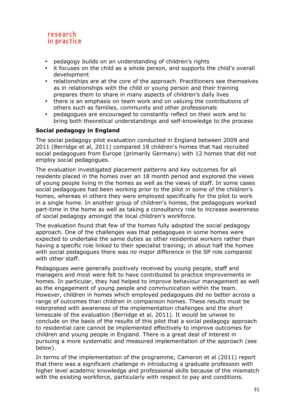- pedagogy builds on an understanding of children's rights
- it focuses on the child as a whole person, and supports the child's overall development
- relationships are at the core of the approach. Practitioners see themselves as in relationships with the child or young person and their training prepares them to share in many aspects of children's daily lives
- there is an emphasis on team work and on valuing the contributions of others such as families, community and other professionals
- pedagogues are encouraged to constantly reflect on their work and to bring both theoretical understandings and self-knowledge to the process

# **Social pedagogy in England**

The social pedagogy pilot evaluation conducted in England between 2009 and 2011 (Berridge et al, 2011) compared 18 children's homes that had recruited social pedagogues from Europe (primarily Germany) with 12 homes that did not employ social pedagogues.

The evaluation investigated placement patterns and key outcomes for all residents placed in the homes over an 18 month period and explored the views of young people living in the homes as well as the views of staff. In some cases social pedagogues had been working prior to the pilot in some of the children's homes, whereas in others they were employed specifically for the pilot to work in a single home. In another group of children's homes, the pedagogues worked part-time in the home as well as taking a consultancy role to increase awareness of social pedagogy amongst the local children's workforce.

The evaluation found that few of the homes fully adopted the social pedagogy approach. One of the challenges was that pedagogues in some homes were expected to undertake the same duties as other residential workers rather than having a specific role linked to their specialist training; in about half the homes with social pedagogues there was no major difference in the SP role compared with other staff.

Pedagogues were generally positively received by young people, staff and managers and most were felt to have contributed to practice improvements in homes. In particular, they had helped to improve behaviour management as well as the engagement of young people and communication within the team. However, children in homes which employed pedagogues did no better across a range of outcomes than children in comparison homes. These results must be interpreted with awareness of the implementation challenges and the short timescale of the evaluation (Berridge et al, 2011). It would be unwise to conclude on the basis of the results of this pilot that a social pedagogy approach to residential care cannot be implemented effectively to improve outcomes for children and young people in England. There is a great deal of interest in pursuing a more systematic and measured implementation of the approach (see below).

In terms of the implementation of the programme, Cameron et al (2011) report that there was a significant challenge in introducing a graduate profession with higher level academic knowledge and professional skills because of the mismatch with the existing workforce, particularly with respect to pay and conditions.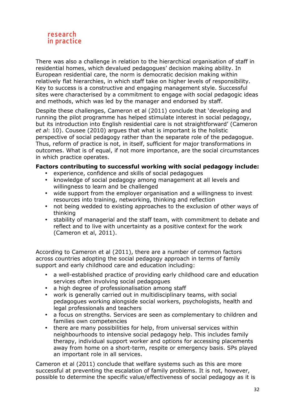

There was also a challenge in relation to the hierarchical organisation of staff in residential homes, which devalued pedagogues' decision making ability. In European residential care, the norm is democratic decision making within relatively flat hierarchies, in which staff take on higher levels of responsibility. Key to success is a constructive and engaging management style. Successful sites were characterised by a commitment to engage with social pedagogic ideas and methods, which was led by the manager and endorsed by staff.

Despite these challenges, Cameron et al (2011) conclude that 'developing and running the pilot programme has helped stimulate interest in social pedagogy, but its introduction into English residential care is not straightforward' (Cameron *et al*: 10). Cousee (2010) argues that what is important is the holistic perspective of social pedagogy rather than the separate role of the pedagogue. Thus, reform of practice is not, in itself, sufficient for major transformations in outcomes. What is of equal, if not more importance, are the social circumstances in which practice operates.

#### **Factors contributing to successful working with social pedagogy include:**

- experience, confidence and skills of social pedagogues
- knowledge of social pedagogy among management at all levels and willingness to learn and be challenged
- wide support from the employer organisation and a willingness to invest resources into training, networking, thinking and reflection
- not being wedded to existing approaches to the exclusion of other ways of thinking
- stability of managerial and the staff team, with commitment to debate and reflect and to live with uncertainty as a positive context for the work (Cameron et al, 2011).

According to Cameron et al (2011), there are a number of common factors across countries adopting the social pedagogy approach in terms of family support and early childhood care and education including:

- a well-established practice of providing early childhood care and education services often involving social pedagogues
- a high degree of professionalisation among staff
- work is generally carried out in multidisciplinary teams, with social pedagogues working alongside social workers, psychologists, health and legal professionals and teachers
- a focus on strengths. Services are seen as complementary to children and families own competencies
- there are many possibilities for help, from universal services within neighbourhoods to intensive social pedagogy help. This includes family therapy, individual support worker and options for accessing placements away from home on a short-term, respite or emergency basis. SPs played an important role in all services.

Cameron et al (2011) conclude that welfare systems such as this are more successful at preventing the escalation of family problems. It is not, however, possible to determine the specific value/effectiveness of social pedagogy as it is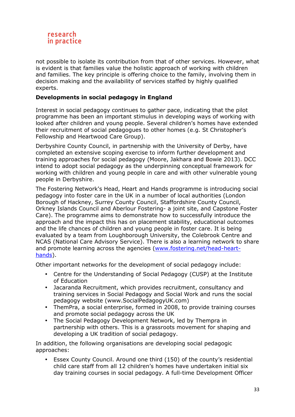

not possible to isolate its contribution from that of other services. However, what is evident is that families value the holistic approach of working with children and families. The key principle is offering choice to the family, involving them in decision making and the availability of services staffed by highly qualified experts.

#### **Developments in social pedagogy in England**

Interest in social pedagogy continues to gather pace, indicating that the pilot programme has been an important stimulus in developing ways of working with looked after children and young people. Several children's homes have extended their recruitment of social pedagogues to other homes (e.g. St Christopher's Fellowship and Heartwood Care Group).

Derbyshire County Council, in partnership with the University of Derby, have completed an extensive scoping exercise to inform further development and training approaches for social pedagogy (Moore, Jakhara and Bowie 2013). DCC intend to adopt social pedagogy as the underpinning conceptual framework for working with children and young people in care and with other vulnerable young people in Derbyshire.

The Fostering Network's Head, Heart and Hands programme is introducing social pedagogy into foster care in the UK in a number of local authorities (London Borough of Hackney, Surrey County Council, Staffordshire County Council, Orkney Islands Council and Aberlour Fostering- a joint site, and Capstone Foster Care). The programme aims to demonstrate how to successfully introduce the approach and the impact this has on placement stability, educational outcomes and the life chances of children and young people in foster care. It is being evaluated by a team from Loughborough University, the Colebrook Centre and NCAS (National Care Advisory Service). There is also a learning network to share and promote learning across the agencies (www.fostering.net/head-hearthands).

Other important networks for the development of social pedagogy include:

- Centre for the Understanding of Social Pedagogy (CUSP) at the Institute of Education
- Jacaranda Recruitment, which provides recruitment, consultancy and training services in Social Pedagogy and Social Work and runs the social pedagogy website (www.SocialPedagogyUK.com)
- ThemPra, a social enterprise, formed in 2008, to provide training courses and promote social pedagogy across the UK
- The Social Pedagogy Development Network, led by Thempra in partnership with others. This is a grassroots movement for shaping and developing a UK tradition of social pedagogy.

In addition, the following organisations are developing social pedagogic approaches:

• Essex County Council. Around one third (150) of the county's residential child care staff from all 12 children's homes have undertaken initial six day training courses in social pedagogy. A full-time Development Officer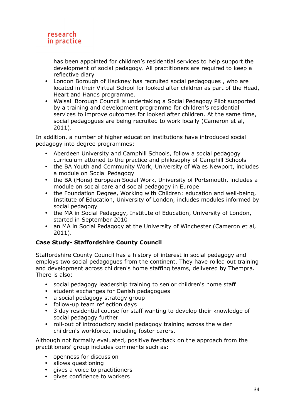has been appointed for children's residential services to help support the development of social pedagogy. All practitioners are required to keep a reflective diary

- London Borough of Hackney has recruited social pedagogues , who are located in their Virtual School for looked after children as part of the Head, Heart and Hands programme.
- Walsall Borough Council is undertaking a Social Pedagogy Pilot supported by a training and development programme for children's residential services to improve outcomes for looked after children. At the same time, social pedagogues are being recruited to work locally (Cameron et al, 2011).

In addition, a number of higher education institutions have introduced social pedagogy into degree programmes:

- Aberdeen University and Camphill Schools, follow a social pedagogy curriculum attuned to the practice and philosophy of Camphill Schools
- the BA Youth and Community Work, University of Wales Newport, includes a module on Social Pedagogy
- the BA (Hons) European Social Work, University of Portsmouth, includes a module on social care and social pedagogy in Europe
- the Foundation Degree, Working with Children: education and well-being, Institute of Education, University of London, includes modules informed by social pedagogy
- the MA in Social Pedagogy, Institute of Education, University of London, started in September 2010
- an MA in Social Pedagogy at the University of Winchester (Cameron et al, 2011).

# **Case Study- Staffordshire County Council**

Staffordshire County Council has a history of interest in social pedagogy and employs two social pedagogues from the continent. They have rolled out training and development across children's home staffing teams, delivered by Thempra. There is also:

- social pedagogy leadership training to senior children's home staff
- student exchanges for Danish pedagogues
- a social pedagogy strategy group
- follow-up team reflection days
- 3 day residential course for staff wanting to develop their knowledge of social pedagogy further
- roll-out of introductory social pedagogy training across the wider children's workforce, including foster carers.

Although not formally evaluated, positive feedback on the approach from the practitioners' group includes comments such as:

- openness for discussion
- allows questioning
- gives a voice to practitioners
- gives confidence to workers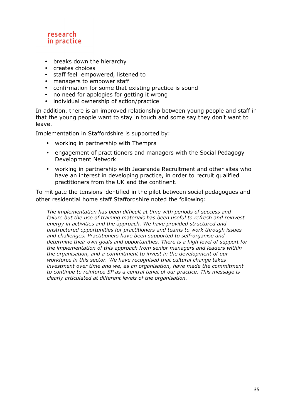- breaks down the hierarchy
- creates choices
- staff feel empowered, listened to
- managers to empower staff
- confirmation for some that existing practice is sound
- no need for apologies for getting it wrong
- individual ownership of action/practice

In addition, there is an improved relationship between young people and staff in that the young people want to stay in touch and some say they don't want to leave.

Implementation in Staffordshire is supported by:

- working in partnership with Thempra
- engagement of practitioners and managers with the Social Pedagogy Development Network
- working in partnership with Jacaranda Recruitment and other sites who have an interest in developing practice, in order to recruit qualified practitioners from the UK and the continent.

To mitigate the tensions identified in the pilot between social pedagogues and other residential home staff Staffordshire noted the following:

*The implementation has been difficult at time with periods of success and failure but the use of training materials has been useful to refresh and reinvest energy in activities and the approach. We have provided structured and unstructured opportunities for practitioners and teams to work through issues and challenges. Practitioners have been supported to self-organise and determine their own goals and opportunities. There is a high level of support for the implementation of this approach from senior managers and leaders within the organisation, and a commitment to invest in the development of our workforce in this sector. We have recognised that cultural change takes investment over time and we, as an organisation, have made the commitment to continue to reinforce SP as a central tenet of our practice. This message is clearly articulated at different levels of the organisation.*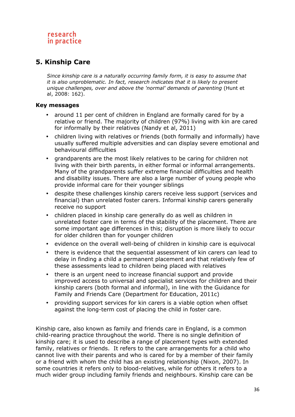# **5. Kinship Care**

*Since kinship care is a naturally occurring family form, it is easy to assume that it is also unproblematic. In fact, research indicates that it is likely to present unique challenges, over and above the 'normal' demands of parenting* (Hunt et al, 2008: 162).

#### **Key messages**

- around 11 per cent of children in England are formally cared for by a relative or friend. The majority of children (97%) living with kin are cared for informally by their relatives (Nandy et al, 2011)
- children living with relatives or friends (both formally and informally) have usually suffered multiple adversities and can display severe emotional and behavioural difficulties
- grandparents are the most likely relatives to be caring for children not living with their birth parents, in either formal or informal arrangements. Many of the grandparents suffer extreme financial difficulties and health and disability issues. There are also a large number of young people who provide informal care for their younger siblings
- despite these challenges kinship carers receive less support (services and financial) than unrelated foster carers. Informal kinship carers generally receive no support
- children placed in kinship care generally do as well as children in unrelated foster care in terms of the stability of the placement. There are some important age differences in this; disruption is more likely to occur for older children than for younger children
- evidence on the overall well-being of children in kinship care is equivocal
- there is evidence that the sequential assessment of kin carers can lead to delay in finding a child a permanent placement and that relatively few of these assessments lead to children being placed with relatives
- there is an urgent need to increase financial support and provide improved access to universal and specialist services for children and their kinship carers (both formal and informal), in line with the Guidance for Family and Friends Care (Department for Education, 2011c)
- providing support services for kin carers is a viable option when offset against the long-term cost of placing the child in foster care.

Kinship care, also known as family and friends care in England, is a common child-rearing practice throughout the world. There is no single definition of kinship care; it is used to describe a range of placement types with extended family, relatives or friends. It refers to the care arrangements for a child who cannot live with their parents and who is cared for by a member of their family or a friend with whom the child has an existing relationship (Nixon, 2007). In some countries it refers only to blood-relatives, while for others it refers to a much wider group including family friends and neighbours. Kinship care can be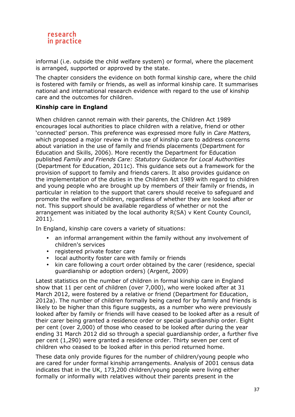

informal (i.e. outside the child welfare system) or formal, where the placement is arranged, supported or approved by the state.

The chapter considers the evidence on both formal kinship care, where the child is fostered with family or friends, as well as informal kinship care. It summarises national and international research evidence with regard to the use of kinship care and the outcomes for children.

#### **Kinship care in England**

When children cannot remain with their parents, the Children Act 1989 encourages local authorities to place children with a relative, friend or other 'connected' person. This preference was expressed more fully in *Care Matters,*  which proposed a major review in the use of kinship care to address concerns about variation in the use of family and friends placements (Department for Education and Skills, 2006). More recently the Department for Education published *Family and Friends Care: Statutory Guidance for Local Authorities* (Department for Education, 2011c). This guidance sets out a framework for the provision of support to family and friends carers. It also provides guidance on the implementation of the duties in the Children Act 1989 with regard to children and young people who are brought up by members of their family or friends, in particular in relation to the support that carers should receive to safeguard and promote the welfare of children, regardless of whether they are looked after or not. This support should be available regardless of whether or not the arrangement was initiated by the local authority R(SA) v Kent County Council, 2011).

In England, kinship care covers a variety of situations:

- an informal arrangement within the family without any involvement of children's services
- registered private foster care
- local authority foster care with family or friends
- kin care following a court order obtained by the carer (residence, special guardianship or adoption orders) (Argent, 2009)

Latest statistics on the number of children in formal kinship care in England show that 11 per cent of children (over 7,000), who were looked after at 31 March 2012, were fostered by a relative or friend (Department for Education, 2012a). The number of children formally being cared for by family and friends is likely to be higher than this figure suggests, as a number who were previously looked after by family or friends will have ceased to be looked after as a result of their carer being granted a residence order or special guardianship order. Eight per cent (over 2,000) of those who ceased to be looked after during the year ending 31 March 2012 did so through a special guardianship order, a further five per cent (1,290) were granted a residence order. Thirty seven per cent of children who ceased to be looked after in this period returned home.

These data only provide figures for the number of children/young people who are cared for under formal kinship arrangements. Analysis of 2001 census data indicates that in the UK, 173,200 children/young people were living either formally or informally with relatives without their parents present in the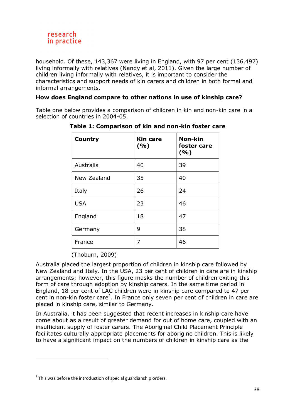

household. Of these, 143,367 were living in England, with 97 per cent (136,497) living informally with relatives (Nandy et al, 2011). Given the large number of children living informally with relatives, it is important to consider the characteristics and support needs of kin carers and children in both formal and informal arrangements.

#### **How does England compare to other nations in use of kinship care?**

Table one below provides a comparison of children in kin and non-kin care in a selection of countries in 2004-05.

| <b>Country</b> | <b>Kin care</b><br>( %) | Non-kin<br>foster care<br>( %) |
|----------------|-------------------------|--------------------------------|
| Australia      | 40                      | 39                             |
| New Zealand    | 35                      | 40                             |
| Italy          | 26                      | 24                             |
| <b>USA</b>     | 23                      | 46                             |
| England        | 18                      | 47                             |
| Germany        | 9                       | 38                             |
| France         | 7                       | 46                             |

**Table 1: Comparison of kin and non-kin foster care** 

(Thoburn, 2009)

Australia placed the largest proportion of children in kinship care followed by New Zealand and Italy. In the USA, 23 per cent of children in care are in kinship arrangements; however, this figure masks the number of children exiting this form of care through adoption by kinship carers. In the same time period in England, 18 per cent of LAC children were in kinship care compared to 47 per cent in non-kin foster care<sup>2</sup>. In France only seven per cent of children in care are placed in kinship care, similar to Germany.

In Australia, it has been suggested that recent increases in kinship care have come about as a result of greater demand for out of home care, coupled with an insufficient supply of foster carers. The Aboriginal Child Placement Principle facilitates culturally appropriate placements for aborigine children. This is likely to have a significant impact on the numbers of children in kinship care as the

 $\overline{a}$ 

 $2$  This was before the introduction of special guardianship orders.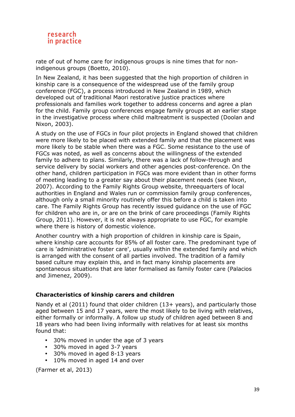

rate of out of home care for indigenous groups is nine times that for nonindigenous groups (Boetto, 2010).

In New Zealand, it has been suggested that the high proportion of children in kinship care is a consequence of the widespread use of the family group conference (FGC), a process introduced in New Zealand in 1989, which developed out of traditional Maori restorative justice practices where professionals and families work together to address concerns and agree a plan for the child. Family group conferences engage family groups at an earlier stage in the investigative process where child maltreatment is suspected (Doolan and Nixon, 2003).

A study on the use of FGCs in four pilot projects in England showed that children were more likely to be placed with extended family and that the placement was more likely to be stable when there was a FGC. Some resistance to the use of FGCs was noted, as well as concerns about the willingness of the extended family to adhere to plans. Similarly, there was a lack of follow-through and service delivery by social workers and other agencies post-conference. On the other hand, children participation in FGCs was more evident than in other forms of meeting leading to a greater say about their placement needs (see Nixon, 2007). According to the Family Rights Group website, threequarters of local authorities in England and Wales run or commission family group conferences, although only a small minority routinely offer this before a child is taken into care. The Family Rights Group has recently issued guidance on the use of FGC for children who are in, or are on the brink of care proceedings (Family Rights Group, 2011). However, it is not always appropriate to use FGC, for example where there is history of domestic violence.

Another country with a high proportion of children in kinship care is Spain, where kinship care accounts for 85% of all foster care. The predominant type of care is 'administrative foster care', usually within the extended family and which is arranged with the consent of all parties involved. The tradition of a family based culture may explain this, and in fact many kinship placements are spontaneous situations that are later formalised as family foster care (Palacios and Jimenez, 2009).

#### **Characteristics of kinship carers and children**

Nandy et al (2011) found that older children (13+ years), and particularly those aged between 15 and 17 years, were the most likely to be living with relatives, either formally or informally. A follow up study of children aged between 8 and 18 years who had been living informally with relatives for at least six months found that:

- 30% moved in under the age of 3 years
- 30% moved in aged 3-7 years
- 30% moved in aged 8-13 years
- 10% moved in aged 14 and over

(Farmer et al, 2013)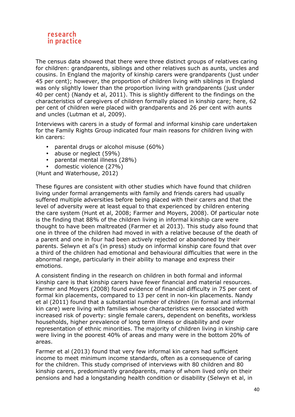

The census data showed that there were three distinct groups of relatives caring for children: grandparents, siblings and other relatives such as aunts, uncles and cousins. In England the majority of kinship carers were grandparents (just under 45 per cent); however, the proportion of children living with siblings in England was only slightly lower than the proportion living with grandparents (just under 40 per cent) (Nandy et al, 2011). This is slightly different to the findings on the characteristics of caregivers of children formally placed in kinship care; here, 62 per cent of children were placed with grandparents and 26 per cent with aunts and uncles (Lutman et al, 2009).

Interviews with carers in a study of formal and informal kinship care undertaken for the Family Rights Group indicated four main reasons for children living with kin carers:

- parental drugs or alcohol misuse (60%)<br>• abuse or nealect (59%)
- abuse or neglect (59%)
- parental mental illness (28%)
- domestic violence (27%)

(Hunt and Waterhouse, 2012)

These figures are consistent with other studies which have found that children living under formal arrangements with family and friends carers had usually suffered multiple adversities before being placed with their carers and that the level of adversity were at least equal to that experienced by children entering the care system (Hunt et al, 2008; Farmer and Moyers, 2008). Of particular note is the finding that 88% of the children living in informal kinship care were thought to have been maltreated (Farmer et al 2013). This study also found that one in three of the children had moved in with a relative because of the death of a parent and one in four had been actively rejected or abandoned by their parents. Selwyn et al's (in press) study on informal kinship care found that over a third of the children had emotional and behavioural difficulties that were in the abnormal range, particularly in their ability to manage and express their emotions.

A consistent finding in the research on children in both formal and informal kinship care is that kinship carers have fewer financial and material resources. Farmer and Moyers (2008) found evidence of financial difficulty in 75 per cent of formal kin placements, compared to 13 per cent in non-kin placements. Nandy et al (2011) found that a substantial number of children (in formal and informal kin care) were living with families whose characteristics were associated with increased risk of poverty: single female carers, dependent on benefits, workless households, higher prevalence of long term illness or disability and over representation of ethnic minorities. The majority of children living in kinship care were living in the poorest 40% of areas and many were in the bottom 20% of areas.

Farmer et al (2013) found that very few informal kin carers had sufficient income to meet minimum income standards, often as a consequence of caring for the children. This study comprised of interviews with 80 children and 80 kinship carers, predominantly grandparents, many of whom lived only on their pensions and had a longstanding health condition or disability (Selwyn et al, in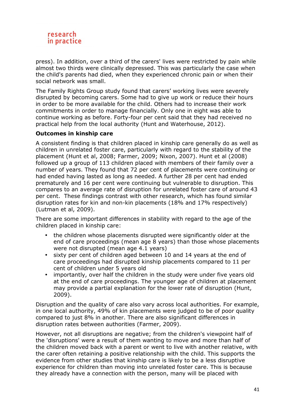

press). In addition, over a third of the carers' lives were restricted by pain while almost two thirds were clinically depressed. This was particularly the case when the child's parents had died, when they experienced chronic pain or when their social network was small.

The Family Rights Group study found that carers' working lives were severely disrupted by becoming carers. Some had to give up work or reduce their hours in order to be more available for the child. Others had to increase their work commitments in order to manage financially. Only one in eight was able to continue working as before. Forty-four per cent said that they had received no practical help from the local authority (Hunt and Waterhouse, 2012).

#### **Outcomes in kinship care**

A consistent finding is that children placed in kinship care generally do as well as children in unrelated foster care, particularly with regard to the stability of the placement (Hunt et al, 2008; Farmer, 2009; Nixon, 2007). Hunt et al (2008) followed up a group of 113 children placed with members of their family over a number of years. They found that 72 per cent of placements were continuing or had ended having lasted as long as needed. A further 28 per cent had ended prematurely and 16 per cent were continuing but vulnerable to disruption. This compares to an average rate of disruption for unrelated foster care of around 43 per cent. These findings contrast with other research, which has found similar disruption rates for kin and non-kin placements (18% and 17% respectively) (Lutman et al, 2009).

There are some important differences in stability with regard to the age of the children placed in kinship care:

- the children whose placements disrupted were significantly older at the end of care proceedings (mean age 8 years) than those whose placements were not disrupted (mean age 4.1 years)
- sixty per cent of children aged between 10 and 14 years at the end of care proceedings had disrupted kinship placements compared to 11 per cent of children under 5 years old
- importantly, over half the children in the study were under five years old at the end of care proceedings. The younger age of children at placement may provide a partial explanation for the lower rate of disruption (Hunt, 2009).

Disruption and the quality of care also vary across local authorities. For example, in one local authority, 49% of kin placements were judged to be of poor quality compared to just 8% in another. There are also significant differences in disruption rates between authorities (Farmer, 2009).

However, not all disruptions are negative; from the children's viewpoint half of the 'disruptions' were a result of them wanting to move and more than half of the children moved back with a parent or went to live with another relative, with the carer often retaining a positive relationship with the child. This supports the evidence from other studies that kinship care is likely to be a less disruptive experience for children than moving into unrelated foster care. This is because they already have a connection with the person, many will be placed with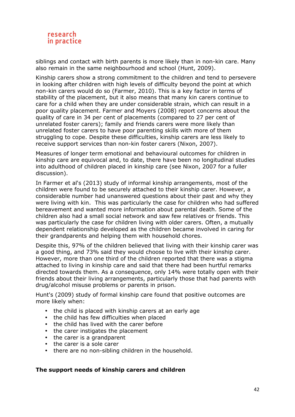

siblings and contact with birth parents is more likely than in non-kin care. Many also remain in the same neighbourhood and school (Hunt, 2009).

Kinship carers show a strong commitment to the children and tend to persevere in looking after children with high levels of difficulty beyond the point at which non-kin carers would do so (Farmer, 2010). This is a key factor in terms of stability of the placement, but it also means that many kin carers continue to care for a child when they are under considerable strain, which can result in a poor quality placement. Farmer and Moyers (2008) report concerns about the quality of care in 34 per cent of placements (compared to 27 per cent of unrelated foster carers); family and friends carers were more likely than unrelated foster carers to have poor parenting skills with more of them struggling to cope. Despite these difficulties, kinship carers are less likely to receive support services than non-kin foster carers (Nixon, 2007).

Measures of longer term emotional and behavioural outcomes for children in kinship care are equivocal and, to date, there have been no longitudinal studies into adulthood of children placed in kinship care (see Nixon, 2007 for a fuller discussion).

In Farmer et al's (2013) study of informal kinship arrangements, most of the children were found to be securely attached to their kinship carer. However, a considerable number had unanswered questions about their past and why they were living with kin. This was particularly the case for children who had suffered bereavement and wanted more information about parental death. Some of the children also had a small social network and saw few relatives or friends. This was particularly the case for children living with older carers. Often, a mutually dependent relationship developed as the children became involved in caring for their grandparents and helping them with household chores.

Despite this, 97% of the children believed that living with their kinship carer was a good thing, and 73% said they would choose to live with their kinship carer. However, more than one third of the children reported that there was a stigma attached to living in kinship care and said that there had been hurtful remarks directed towards them. As a consequence, only 14% were totally open with their friends about their living arrangements, particularly those that had parents with drug/alcohol misuse problems or parents in prison.

Hunt's (2009) study of formal kinship care found that positive outcomes are more likely when:

- the child is placed with kinship carers at an early age
- the child has few difficulties when placed
- the child has lived with the carer before
- the carer instigates the placement
- the carer is a grandparent
- the carer is a sole carer
- there are no non-sibling children in the household.

#### **The support needs of kinship carers and children**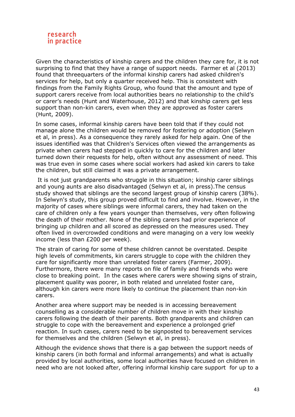

Given the characteristics of kinship carers and the children they care for, it is not surprising to find that they have a range of support needs. Farmer et al (2013) found that threequarters of the informal kinship carers had asked children's services for help, but only a quarter received help. This is consistent with findings from the Family Rights Group, who found that the amount and type of support carers receive from local authorities bears no relationship to the child's or carer's needs (Hunt and Waterhouse, 2012) and that kinship carers get less support than non-kin carers, even when they are approved as foster carers (Hunt, 2009).

In some cases, informal kinship carers have been told that if they could not manage alone the children would be removed for fostering or adoption (Selwyn et al, in press). As a consequence they rarely asked for help again. One of the issues identified was that Children's Services often viewed the arrangements as private when carers had stepped in quickly to care for the children and later turned down their requests for help, often without any assessment of need. This was true even in some cases where social workers had asked kin carers to take the children, but still claimed it was a private arrangement.

 It is not just grandparents who struggle in this situation; kinship carer siblings and young aunts are also disadvantaged (Selwyn et al, in press).The census study showed that siblings are the second largest group of kinship carers (38%). In Selwyn's study, this group proved difficult to find and involve. However, in the majority of cases where siblings were informal carers, they had taken on the care of children only a few years younger than themselves, very often following the death of their mother. None of the sibling carers had prior experience of bringing up children and all scored as depressed on the measures used. They often lived in overcrowded conditions and were managing on a very low weekly income (less than £200 per week).

The strain of caring for some of these children cannot be overstated. Despite high levels of commitments, kin carers struggle to cope with the children they care for significantly more than unrelated foster carers (Farmer, 2009). Furthermore, there were many reports on file of family and friends who were close to breaking point. In the cases where carers were showing signs of strain, placement quality was poorer, in both related and unrelated foster care, although kin carers were more likely to continue the placement than non-kin carers.

Another area where support may be needed is in accessing bereavement counselling as a considerable number of children move in with their kinship carers following the death of their parents. Both grandparents and children can struggle to cope with the bereavement and experience a prolonged grief reaction. In such cases, carers need to be signposted to bereavement services for themselves and the children (Selwyn et al, in press).

Although the evidence shows that there is a gap between the support needs of kinship carers (in both formal and informal arrangements) and what is actually provided by local authorities, some local authorities have focused on children in need who are not looked after, offering informal kinship care support for up to a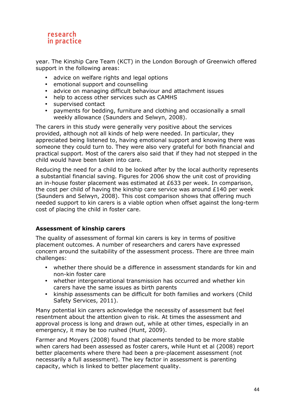year. The Kinship Care Team (KCT) in the London Borough of Greenwich offered support in the following areas:

- advice on welfare rights and legal options
- emotional support and counselling
- advice on managing difficult behaviour and attachment issues
- help to access other services such as CAMHS
- supervised contact
- payments for bedding, furniture and clothing and occasionally a small weekly allowance (Saunders and Selwyn, 2008).

The carers in this study were generally very positive about the services provided, although not all kinds of help were needed. In particular, they appreciated being listened to, having emotional support and knowing there was someone they could turn to. They were also very grateful for both financial and practical support. Most of the carers also said that if they had not stepped in the child would have been taken into care.

Reducing the need for a child to be looked after by the local authority represents a substantial financial saving. Figures for 2006 show the unit cost of providing an in-house foster placement was estimated at £633 per week. In comparison, the cost per child of having the kinship care service was around £140 per week (Saunders and Selwyn, 2008). This cost comparison shows that offering much needed support to kin carers is a viable option when offset against the long-term cost of placing the child in foster care.

# **Assessment of kinship carers**

The quality of assessment of formal kin carers is key in terms of positive placement outcomes. A number of researchers and carers have expressed concern around the suitability of the assessment process. There are three main challenges:

- whether there should be a difference in assessment standards for kin and non-kin foster care
- whether intergenerational transmission has occurred and whether kin carers have the same issues as birth parents
- kinship assessments can be difficult for both families and workers (Child Safety Services, 2011).

Many potential kin carers acknowledge the necessity of assessment but feel resentment about the attention given to risk. At times the assessment and approval process is long and drawn out, while at other times, especially in an emergency, it may be too rushed (Hunt, 2009).

Farmer and Moyers (2008) found that placements tended to be more stable when carers had been assessed as foster carers, while Hunt et al (2008) report better placements where there had been a pre-placement assessment (not necessarily a full assessment). The key factor in assessment is parenting capacity, which is linked to better placement quality.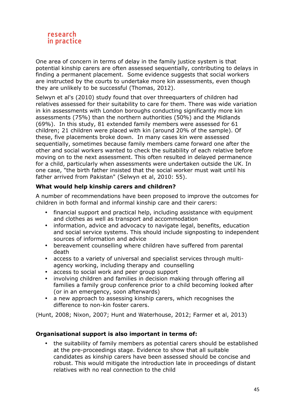

One area of concern in terms of delay in the family justice system is that potential kinship carers are often assessed sequentially, contributing to delays in finding a permanent placement. Some evidence suggests that social workers are instructed by the courts to undertake more kin assessments, even though they are unlikely to be successful (Thomas, 2012).

Selwyn et al's (2010) study found that over threequarters of children had relatives assessed for their suitability to care for them. There was wide variation in kin assessments with London boroughs conducting significantly more kin assessments (75%) than the northern authorities (50%) and the Midlands (69%). In this study, 81 extended family members were assessed for 61 children; 21 children were placed with kin (around 20% of the sample). Of these, five placements broke down. In many cases kin were assessed sequentially, sometimes because family members came forward one after the other and social workers wanted to check the suitability of each relative before moving on to the next assessment. This often resulted in delayed permanence for a child, particularly when assessments were undertaken outside the UK. In one case, "the birth father insisted that the social worker must wait until his father arrived from Pakistan" (Selwyn et al, 2010: 55).

# **What would help kinship carers and children?**

A number of recommendations have been proposed to improve the outcomes for children in both formal and informal kinship care and their carers:

- financial support and practical help, including assistance with equipment and clothes as well as transport and accommodation
- information, advice and advocacy to navigate legal, benefits, education and social service systems. This should include signposting to independent sources of information and advice
- bereavement counselling where children have suffered from parental death
- access to a variety of universal and specialist services through multiagency working, including therapy and counselling
- access to social work and peer group support
- involving children and families in decision making through offering all families a family group conference prior to a child becoming looked after (or in an emergency, soon afterwards)
- a new approach to assessing kinship carers, which recognises the difference to non-kin foster carers.

(Hunt, 2008; Nixon, 2007; Hunt and Waterhouse, 2012; Farmer et al, 2013)

#### **Organisational support is also important in terms of:**

• the suitability of family members as potential carers should be established at the pre-proceedings stage. Evidence to show that all suitable candidates as kinship carers have been assessed should be concise and robust. This would mitigate the introduction late in proceedings of distant relatives with no real connection to the child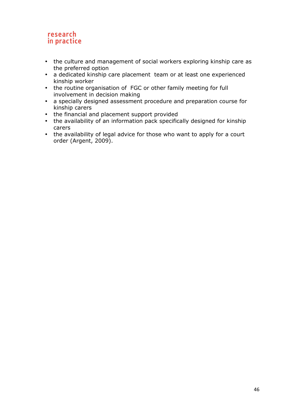- the culture and management of social workers exploring kinship care as the preferred option
- a dedicated kinship care placement team or at least one experienced kinship worker
- the routine organisation of FGC or other family meeting for full involvement in decision making
- a specially designed assessment procedure and preparation course for kinship carers
- the financial and placement support provided
- the availability of an information pack specifically designed for kinship carers
- the availability of legal advice for those who want to apply for a court order (Argent, 2009).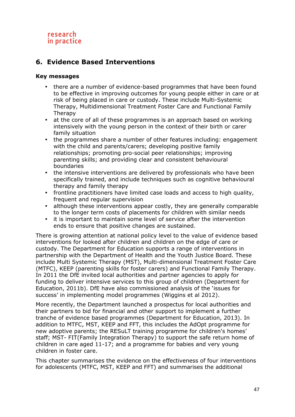# **6. Evidence Based Interventions**

# **Key messages**

- there are a number of evidence-based programmes that have been found to be effective in improving outcomes for young people either in care or at risk of being placed in care or custody. These include Multi-Systemic Therapy, Multidimensional Treatment Foster Care and Functional Family Therapy
- at the core of all of these programmes is an approach based on working intensively with the young person in the context of their birth or carer family situation
- the programmes share a number of other features including: engagement with the child and parents/carers; developing positive family relationships; promoting pro-social peer relationships; improving parenting skills; and providing clear and consistent behavioural boundaries
- the intensive interventions are delivered by professionals who have been specifically trained, and include techniques such as cognitive behavioural therapy and family therapy
- frontline practitioners have limited case loads and access to high quality, frequent and regular supervision
- although these interventions appear costly, they are generally comparable to the longer term costs of placements for children with similar needs
- it is important to maintain some level of service after the intervention ends to ensure that positive changes are sustained.

There is growing attention at national policy level to the value of evidence based interventions for looked after children and children on the edge of care or custody. The Department for Education supports a range of interventions in partnership with the Department of Health and the Youth Justice Board. These include Multi Systemic Therapy (MST), Multi-dimensional Treatment Foster Care (MTFC), KEEP (parenting skills for foster carers) and Functional Family Therapy. In 2011 the DfE invited local authorities and partner agencies to apply for funding to deliver intensive services to this group of children (Department for Education, 2011b). DfE have also commissioned analysis of the 'issues for success' in implementing model programmes (Wiggins et al 2012).

More recently, the Department launched a prospectus for local authorities and their partners to bid for financial and other support to implement a further tranche of evidence based programmes (Department for Education, 2013). In addition to MTFC, MST, KEEP and FFT, this includes the AdOpt programme for new adoptive parents; the RESuLT training programme for children's homes' staff; MST- FIT(Family Integration Therapy) to support the safe return home of children in care aged 11-17; and a programme for babies and very young children in foster care.

This chapter summarises the evidence on the effectiveness of four interventions for adolescents (MTFC, MST, KEEP and FFT) and summarises the additional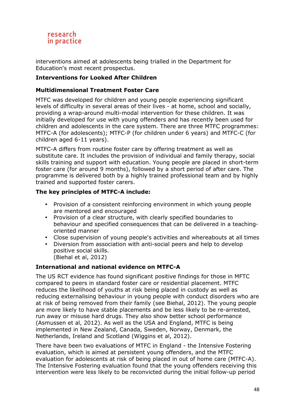

interventions aimed at adolescents being trialled in the Department for Education's most recent prospectus.

# **Interventions for Looked After Children**

# **Multidimensional Treatment Foster Care**

MTFC was developed for children and young people experiencing significant levels of difficulty in several areas of their lives - at home, school and socially, providing a wrap-around multi-modal intervention for these children. It was initially developed for use with young offenders and has recently been used for children and adolescents in the care system. There are three MTFC programmes: MTFC-A (for adolescents); MTFC-P (for children under 6 years) and MTFC-C (for children aged 6-11 years).

MTFC-A differs from routine foster care by offering treatment as well as substitute care. It includes the provision of individual and family therapy, social skills training and support with education. Young people are placed in short-term foster care (for around 9 months), followed by a short period of after care. The programme is delivered both by a highly trained professional team and by highly trained and supported foster carers.

#### **The key principles of MTFC-A include:**

- Provision of a consistent reinforcing environment in which young people are mentored and encouraged
- Provision of a clear structure, with clearly specified boundaries to behaviour and specified consequences that can be delivered in a teachingoriented manner
- Close supervision of young people's activities and whereabouts at all times
- Diversion from association with anti-social peers and help to develop positive social skills. (Biehal et al, 2012)

#### **International and national evidence on MTFC-A**

The US RCT evidence has found significant positive findings for those in MFTC compared to peers in standard foster care or residential placement. MTFC reduces the likelihood of youths at risk being placed in custody as well as reducing externalising behaviour in young people with conduct disorders who are at risk of being removed from their family (see Biehal, 2012). The young people are more likely to have stable placements and be less likely to be re-arrested, run away or misuse hard drugs. They also show better school performance (Asmussen et al, 2012). As well as the USA and England, MTFC is being implemented in New Zealand, Canada, Sweden, Norway, Denmark, the Netherlands, Ireland and Scotland (Wiggins et al, 2012).

There have been two evaluations of MTFC in England - the Intensive Fostering evaluation, which is aimed at persistent young offenders, and the MTFC evaluation for adolescents at risk of being placed in out of home care (MTFC-A). The Intensive Fostering evaluation found that the young offenders receiving this intervention were less likely to be reconvicted during the initial follow-up period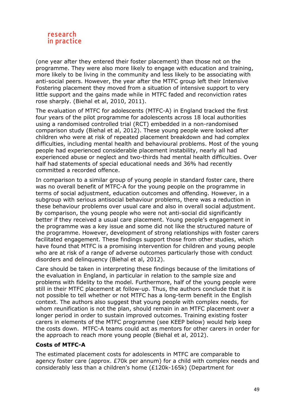

(one year after they entered their foster placement) than those not on the programme. They were also more likely to engage with education and training, more likely to be living in the community and less likely to be associating with anti-social peers. However, the year after the MTFC group left their Intensive Fostering placement they moved from a situation of intensive support to very little support and the gains made while in MTFC faded and reconviction rates rose sharply. (Biehal et al, 2010, 2011).

The evaluation of MTFC for adolescents (MTFC-A) in England tracked the first four years of the pilot programme for adolescents across 18 local authorities using a randomised controlled trial (RCT) embedded in a non-randomised comparison study (Biehal et al, 2012). These young people were looked after children who were at risk of repeated placement breakdown and had complex difficulties, including mental health and behavioural problems. Most of the young people had experienced considerable placement instability, nearly all had experienced abuse or neglect and two-thirds had mental health difficulties. Over half had statements of special educational needs and 36% had recently committed a recorded offence.

In comparison to a similar group of young people in standard foster care, there was no overall benefit of MTFC-A for the young people on the programme in terms of social adjustment, education outcomes and offending. However, in a subgroup with serious antisocial behaviour problems, there was a reduction in these behaviour problems over usual care and also in overall social adjustment. By comparison, the young people who were not anti-social did significantly better if they received a usual care placement. Young people's engagement in the programme was a key issue and some did not like the structured nature of the programme. However, development of strong relationships with foster carers facilitated engagement. These findings support those from other studies, which have found that MTFC is a promising intervention for children and young people who are at risk of a range of adverse outcomes particularly those with conduct disorders and delinquency (Biehal et al, 2012).

Care should be taken in interpreting these findings because of the limitations of the evaluation in England, in particular in relation to the sample size and problems with fidelity to the model. Furthermore, half of the young people were still in their MTFC placement at follow-up. Thus, the authors conclude that it is not possible to tell whether or not MTFC has a long-term benefit in the English context. The authors also suggest that young people with complex needs, for whom reunification is not the plan, should remain in an MTFC placement over a longer period in order to sustain improved outcomes. Training existing foster carers in elements of the MTFC programme (see KEEP below) would help keep the costs down. MTFC-A teams could act as mentors for other carers in order for the approach to reach more young people (Biehal et al, 2012).

#### **Costs of MTFC-A**

The estimated placement costs for adolescents in MTFC are comparable to agency foster care (approx. £70k per annum) for a child with complex needs and considerably less than a children's home (£120k-165k) (Department for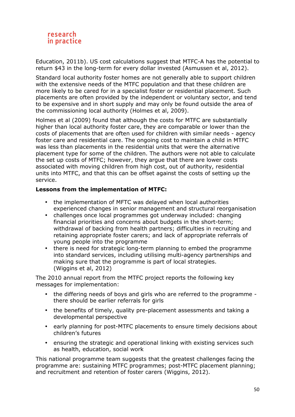

Education, 2011b). US cost calculations suggest that MTFC-A has the potential to return \$43 in the long-term for every dollar invested (Asmussen et al, 2012).

Standard local authority foster homes are not generally able to support children with the extensive needs of the MTFC population and that these children are more likely to be cared for in a specialist foster or residential placement. Such placements are often provided by the independent or voluntary sector, and tend to be expensive and in short supply and may only be found outside the area of the commissioning local authority (Holmes et al, 2009).

Holmes et al (2009) found that although the costs for MTFC are substantially higher than local authority foster care, they are comparable or lower than the costs of placements that are often used for children with similar needs - agency foster care and residential care. The ongoing cost to maintain a child in MTFC was less than placements in the residential units that were the alternative placement type for some of the children. The authors were not able to calculate the set up costs of MTFC; however, they argue that there are lower costs associated with moving children from high cost, out of authority, residential units into MTFC, and that this can be offset against the costs of setting up the service.

#### **Lessons from the implementation of MTFC:**

- the implementation of MFTC was delayed when local authorities experienced changes in senior management and structural reorganisation
- challenges once local programmes got underway included: changing financial priorities and concerns about budgets in the short-term; withdrawal of backing from health partners; difficulties in recruiting and retaining appropriate foster carers; and lack of appropriate referrals of young people into the programme
- there is need for strategic long-term planning to embed the programme into standard services, including utilising multi-agency partnerships and making sure that the programme is part of local strategies. (Wiggins et al, 2012)

The 2010 annual report from the MTFC project reports the following key messages for implementation:

- the differing needs of boys and girls who are referred to the programme there should be earlier referrals for girls
- the benefits of timely, quality pre-placement assessments and taking a developmental perspective
- early planning for post-MTFC placements to ensure timely decisions about children's futures
- ensuring the strategic and operational linking with existing services such as health, education, social work

This national programme team suggests that the greatest challenges facing the programme are: sustaining MTFC programmes; post-MTFC placement planning; and recruitment and retention of foster carers (Wiggins, 2012).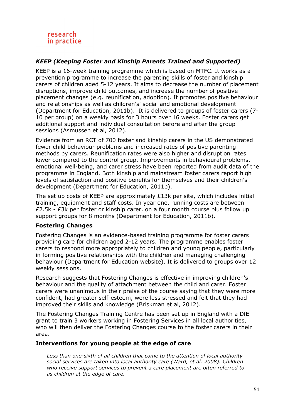# *KEEP (Keeping Foster and Kinship Parents Trained and Supported)*

KEEP is a 16-week training programme which is based on MTFC. It works as a prevention programme to increase the parenting skills of foster and kinship carers of children aged 5-12 years. It aims to decrease the number of placement disruptions, improve child outcomes, and increase the number of positive placement changes (e.g. reunification, adoption). It promotes positive behaviour and relationships as well as children's' social and emotional development (Department for Education, 2011b). It is delivered to groups of foster carers (7- 10 per group) on a weekly basis for 3 hours over 16 weeks. Foster carers get additional support and individual consultation before and after the group sessions (Asmussen et al, 2012).

Evidence from an RCT of 700 foster and kinship carers in the US demonstrated fewer child behaviour problems and increased rates of positive parenting methods by carers. Reunification rates were also higher and disruption rates lower compared to the control group. Improvements in behavioural problems, emotional well-being, and carer stress have been reported from audit data of the programme in England. Both kinship and mainstream foster carers report high levels of satisfaction and positive benefits for themselves and their children's development (Department for Education, 2011b).

The set up costs of KEEP are approximately £13k per site, which includes initial training, equipment and staff costs. In year one, running costs are between £2.5k - £3k per foster or kinship carer, on a four month course plus follow up support groups for 8 months (Department for Education, 2011b).

#### **Fostering Changes**

Fostering Changes is an evidence-based training programme for foster carers providing care for children aged 2-12 years. The programme enables foster carers to respond more appropriately to children and young people, particularly in forming positive relationships with the children and managing challenging behaviour (Department for Education website). It is delivered to groups over 12 weekly sessions.

Research suggests that Fostering Changes is effective in improving children's behaviour and the quality of attachment between the child and carer. Foster carers were unanimous in their praise of the course saying that they were more confident, had greater self-esteem, were less stressed and felt that they had improved their skills and knowledge (Briskman et al, 2012).

The Fostering Changes Training Centre has been set up in England with a DfE grant to train 3 workers working in Fostering Services in all local authorities, who will then deliver the Fostering Changes course to the foster carers in their area.

#### **Interventions for young people at the edge of care**

*Less than one-sixth of all children that come to the attention of local authority social services are taken into local authority care (Ward, et al. 2008). Children who receive support services to prevent a care placement are often referred to as children at the edge of care.*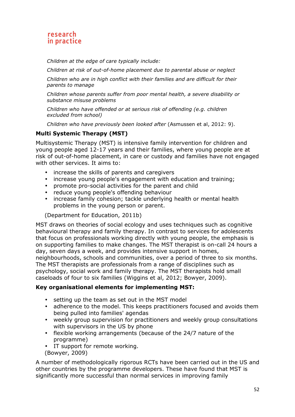*Children at the edge of care typically include:* 

*Children at risk of out-of-home placement due to parental abuse or neglect* 

*Children who are in high conflict with their families and are difficult for their parents to manage* 

*Children whose parents suffer from poor mental health, a severe disability or substance misuse problems* 

*Children who have offended or at serious risk of offending (e.g. children excluded from school)* 

*Children who have previously been looked after* (Asmussen et al, 2012: 9).

# **Multi Systemic Therapy (MST)**

Multisystemic Therapy (MST) is intensive family intervention for children and young people aged 12-17 years and their families, where young people are at risk of out-of-home placement, in care or custody and families have not engaged with other services. It aims to:

- increase the skills of parents and caregivers
- increase young people's engagement with education and training;
- promote pro-social activities for the parent and child
- reduce young people's offending behaviour
- increase family cohesion; tackle underlying health or mental health problems in the young person or parent.

#### (Department for Education, 2011b)

MST draws on theories of social ecology and uses techniques such as cognitive behavioural therapy and family therapy. In contrast to services for adolescents that focus on professionals working directly with young people, the emphasis is on supporting families to make changes. The MST therapist is on-call 24 hours a day, seven days a week, and provides intensive support in homes, neighbourhoods, schools and communities, over a period of three to six months. The MST therapists are professionals from a range of disciplines such as psychology, social work and family therapy. The MST therapists hold small caseloads of four to six families (Wiggins et al, 2012; Bowyer, 2009).

# **Key organisational elements for implementing MST:**

- setting up the team as set out in the MST model
- adherence to the model. This keeps practitioners focused and avoids them being pulled into families' agendas
- weekly group supervision for practitioners and weekly group consultations with supervisors in the US by phone
- flexible working arrangements (because of the 24/7 nature of the programme)
- IT support for remote working. (Bowyer, 2009)

A number of methodologically rigorous RCTs have been carried out in the US and other countries by the programme developers. These have found that MST is significantly more successful than normal services in improving family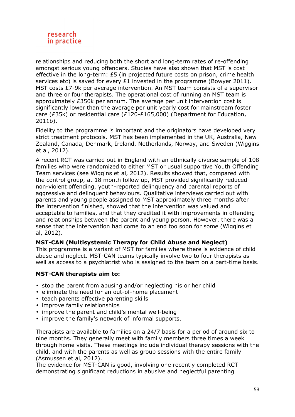

relationships and reducing both the short and long-term rates of re-offending amongst serious young offenders. Studies have also shown that MST is cost effective in the long-term: £5 (in projected future costs on prison, crime health services etc) is saved for every £1 invested in the programme (Bowyer 2011). MST costs £7-9k per average intervention. An MST team consists of a supervisor and three or four therapists. The operational cost of running an MST team is approximately £350k per annum. The average per unit intervention cost is significantly lower than the average per unit yearly cost for mainstream foster care (£35k) or residential care (£120-£165,000) (Department for Education, 2011b).

Fidelity to the programme is important and the originators have developed very strict treatment protocols. MST has been implemented in the UK, Australia, New Zealand, Canada, Denmark, Ireland, Netherlands, Norway, and Sweden (Wiggins et al, 2012).

A recent RCT was carried out in England with an ethnically diverse sample of 108 families who were randomized to either MST or usual supportive Youth Offending Team services (see Wiggins et al, 2012). Results showed that, compared with the control group, at 18 month follow up, MST provided significantly reduced non-violent offending, youth-reported delinquency and parental reports of aggressive and delinquent behaviours. Qualitative interviews carried out with parents and young people assigned to MST approximately three months after the intervention finished, showed that the intervention was valued and acceptable to families, and that they credited it with improvements in offending and relationships between the parent and young person. However, there was a sense that the intervention had come to an end too soon for some (Wiggins et al, 2012).

#### **MST-CAN (Multisystemic Therapy for Child Abuse and Neglect)**

This programme is a variant of MST for families where there is evidence of child abuse and neglect. MST-CAN teams typically involve two to four therapists as well as access to a psychiatrist who is assigned to the team on a part-time basis.

#### **MST-CAN therapists aim to:**

- stop the parent from abusing and/or neglecting his or her child
- eliminate the need for an out-of-home placement
- teach parents effective parenting skills
- improve family relationships
- improve the parent and child's mental well-being
- improve the family's network of informal supports.

Therapists are available to families on a 24/7 basis for a period of around six to nine months. They generally meet with family members three times a week through home visits. These meetings include individual therapy sessions with the child, and with the parents as well as group sessions with the entire family (Asmussen et al, 2012).

The evidence for MST-CAN is good, involving one recently completed RCT demonstrating significant reductions in abusive and neglectful parenting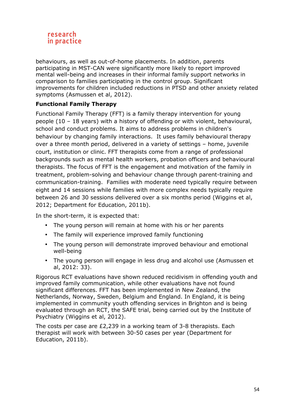

behaviours, as well as out-of-home placements. In addition, parents participating in MST-CAN were significantly more likely to report improved mental well-being and increases in their informal family support networks in comparison to families participating in the control group. Significant improvements for children included reductions in PTSD and other anxiety related symptoms (Asmussen et al, 2012).

# **Functional Family Therapy**

Functional Family Therapy (FFT) is a family therapy intervention for young people (10 – 18 years) with a history of offending or with violent, behavioural, school and conduct problems. It aims to address problems in children's behaviour by changing family interactions. It uses family behavioural therapy over a three month period, delivered in a variety of settings – home, juvenile court, institution or clinic. FFT therapists come from a range of professional backgrounds such as mental health workers, probation officers and behavioural therapists. The focus of FFT is the engagement and motivation of the family in treatment, problem-solving and behaviour change through parent-training and communication-training. Families with moderate need typically require between eight and 14 sessions while families with more complex needs typically require between 26 and 30 sessions delivered over a six months period (Wiggins et al, 2012; Department for Education, 2011b).

In the short-term, it is expected that:

- The young person will remain at home with his or her parents
- The family will experience improved family functioning
- The young person will demonstrate improved behaviour and emotional well-being
- The young person will engage in less drug and alcohol use (Asmussen et al, 2012: 33).

Rigorous RCT evaluations have shown reduced recidivism in offending youth and improved family communication, while other evaluations have not found significant differences. FFT has been implemented in New Zealand, the Netherlands, Norway, Sweden, Belgium and England. In England, it is being implemented in community youth offending services in Brighton and is being evaluated through an RCT, the SAFE trial, being carried out by the Institute of Psychiatry (Wiggins et al, 2012).

The costs per case are £2,239 in a working team of 3-8 therapists. Each therapist will work with between 30-50 cases per year (Department for Education, 2011b).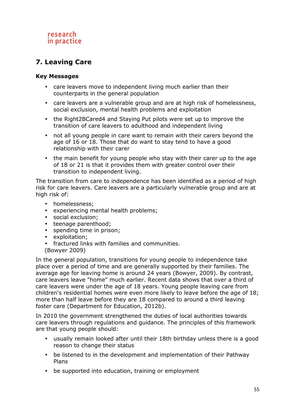# **7. Leaving Care**

# **Key Messages**

- care leavers move to independent living much earlier than their counterparts in the general population
- care leavers are a vulnerable group and are at high risk of homelessness, social exclusion, mental health problems and exploitation
- the Right2BCared4 and Staying Put pilots were set up to improve the transition of care leavers to adulthood and independent living
- not all young people in care want to remain with their carers beyond the age of 16 or 18. Those that do want to stay tend to have a good relationship with their carer
- the main benefit for young people who stay with their carer up to the age of 18 or 21 is that it provides them with greater control over their transition to independent living.

The transition from care to independence has been identified as a period of high risk for care leavers. Care leavers are a particularly vulnerable group and are at high risk of:

- homelessness;
- experiencing mental health problems;
- social exclusion;
- teenage parenthood;
- spending time in prison;
- exploitation;
- fractured links with families and communities.
- (Bowyer 2009)

In the general population, transitions for young people to independence take place over a period of time and are generally supported by their families. The average age for leaving home is around 24 years (Bowyer, 2009). By contrast, care leavers leave "home" much earlier. Recent data shows that over a third of care leavers were under the age of 18 years. Young people leaving care from children's residential homes were even more likely to leave before the age of 18; more than half leave before they are 18 compared to around a third leaving foster care (Department for Education, 2012b).

In 2010 the government strengthened the duties of local authorities towards care leavers through regulations and guidance. The principles of this framework are that young people should:

- usually remain looked after until their 18th birthday unless there is a good reason to change their status
- be listened to in the development and implementation of their Pathway Plans
- be supported into education, training or employment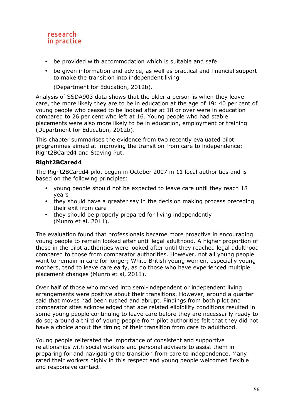- be provided with accommodation which is suitable and safe
- be given information and advice, as well as practical and financial support to make the transition into independent living

(Department for Education, 2012b).

Analysis of SSDA903 data shows that the older a person is when they leave care, the more likely they are to be in education at the age of 19: 40 per cent of young people who ceased to be looked after at 18 or over were in education compared to 26 per cent who left at 16. Young people who had stable placements were also more likely to be in education, employment or training (Department for Education, 2012b).

This chapter summarises the evidence from two recently evaluated pilot programmes aimed at improving the transition from care to independence: Right2BCared4 and Staying Put.

# **Right2BCared4**

The Right2BCared4 pilot began in October 2007 in 11 local authorities and is based on the following principles:

- young people should not be expected to leave care until they reach 18 years
- they should have a greater say in the decision making process preceding their exit from care
- they should be properly prepared for living independently (Munro et al, 2011).

The evaluation found that professionals became more proactive in encouraging young people to remain looked after until legal adulthood. A higher proportion of those in the pilot authorities were looked after until they reached legal adulthood compared to those from comparator authorities. However, not all young people want to remain in care for longer; White British young women, especially young mothers, tend to leave care early, as do those who have experienced multiple placement changes (Munro et al, 2011).

Over half of those who moved into semi-independent or independent living arrangements were positive about their transitions. However, around a quarter said that moves had been rushed and abrupt. Findings from both pilot and comparator sites acknowledged that age related eligibility conditions resulted in some young people continuing to leave care before they are necessarily ready to do so; around a third of young people from pilot authorities felt that they did not have a choice about the timing of their transition from care to adulthood.

Young people reiterated the importance of consistent and supportive relationships with social workers and personal advisers to assist them in preparing for and navigating the transition from care to independence. Many rated their workers highly in this respect and young people welcomed flexible and responsive contact.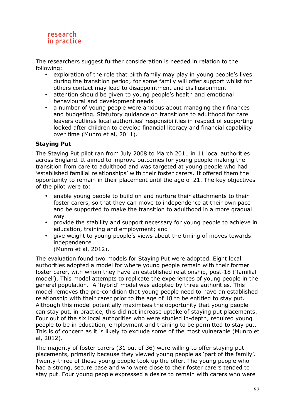The researchers suggest further consideration is needed in relation to the following:

- exploration of the role that birth family may play in young people's lives during the transition period; for some family will offer support whilst for others contact may lead to disappointment and disillusionment
- attention should be given to young people's health and emotional behavioural and development needs
- a number of young people were anxious about managing their finances and budgeting. Statutory guidance on transitions to adulthood for care leavers outlines local authorities' responsibilities in respect of supporting looked after children to develop financial literacy and financial capability over time (Munro et al, 2011).

# **Staying Put**

The Staying Put pilot ran from July 2008 to March 2011 in 11 local authorities across England. It aimed to improve outcomes for young people making the transition from care to adulthood and was targeted at young people who had 'established familial relationships' with their foster carers. It offered them the opportunity to remain in their placement until the age of 21. The key objectives of the pilot were to:

- enable young people to build on and nurture their attachments to their foster carers, so that they can move to independence at their own pace and be supported to make the transition to adulthood in a more gradual way
- provide the stability and support necessary for young people to achieve in education, training and employment; and
- give weight to young people's views about the timing of moves towards independence

(Munro et al, 2012).

The evaluation found two models for Staying Put were adopted. Eight local authorities adopted a model for where young people remain with their former foster carer, with whom they have an established relationship, post-18 ('familial model'). This model attempts to replicate the experiences of young people in the general population. A 'hybrid' model was adopted by three authorities. This model removes the pre-condition that young people need to have an established relationship with their carer prior to the age of 18 to be entitled to stay put. Although this model potentially maximises the opportunity that young people can stay put, in practice, this did not increase uptake of staying put placements. Four out of the six local authorities who were studied in-depth, required young people to be in education, employment and training to be permitted to stay put. This is of concern as it is likely to exclude some of the most vulnerable (Munro et al, 2012).

The majority of foster carers (31 out of 36) were willing to offer staying put placements, primarily because they viewed young people as 'part of the family'. Twenty-three of these young people took up the offer. The young people who had a strong, secure base and who were close to their foster carers tended to stay put. Four young people expressed a desire to remain with carers who were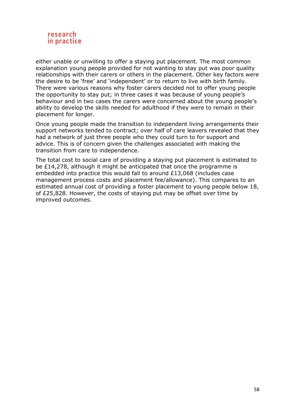

either unable or unwilling to offer a staying put placement. The most common explanation young people provided for not wanting to stay put was poor quality relationships with their carers or others in the placement. Other key factors were the desire to be 'free' and 'independent' or to return to live with birth family. There were various reasons why foster carers decided not to offer young people the opportunity to stay put; in three cases it was because of young people's behaviour and in two cases the carers were concerned about the young people's ability to develop the skills needed for adulthood if they were to remain in their placement for longer.

Once young people made the transition to independent living arrangements their support networks tended to contract; over half of care leavers revealed that they had a network of just three people who they could turn to for support and advice. This is of concern given the challenges associated with making the transition from care to independence.

The total cost to social care of providing a staying put placement is estimated to be £14,278, although it might be anticipated that once the programme is embedded into practice this would fall to around £13,068 (includes case management process costs and placement fee/allowance). This compares to an estimated annual cost of providing a foster placement to young people below 18, of £25,828. However, the costs of staying put may be offset over time by improved outcomes.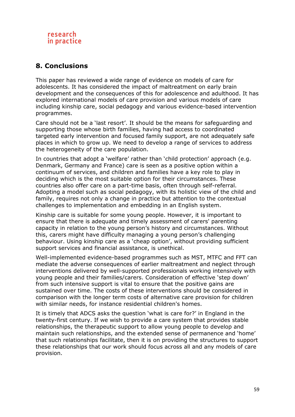# **8. Conclusions**

This paper has reviewed a wide range of evidence on models of care for adolescents. It has considered the impact of maltreatment on early brain development and the consequences of this for adolescence and adulthood. It has explored international models of care provision and various models of care including kinship care, social pedagogy and various evidence-based intervention programmes.

Care should not be a 'last resort'. It should be the means for safeguarding and supporting those whose birth families, having had access to coordinated targeted early intervention and focused family support, are not adequately safe places in which to grow up. We need to develop a range of services to address the heterogeneity of the care population.

In countries that adopt a 'welfare' rather than 'child protection' approach (e.g. Denmark, Germany and France) care is seen as a positive option within a continuum of services, and children and families have a key role to play in deciding which is the most suitable option for their circumstances. These countries also offer care on a part-time basis, often through self-referral. Adopting a model such as social pedagogy, with its holistic view of the child and family, requires not only a change in practice but attention to the contextual challenges to implementation and embedding in an English system.

Kinship care is suitable for some young people. However, it is important to ensure that there is adequate and timely assessment of carers' parenting capacity in relation to the young person's history and circumstances. Without this, carers might have difficulty managing a young person's challenging behaviour. Using kinship care as a 'cheap option', without providing sufficient support services and financial assistance, is unethical.

Well-implemented evidence-based programmes such as MST, MTFC and FFT can mediate the adverse consequences of earlier maltreatment and neglect through interventions delivered by well-supported professionals working intensively with young people and their families/carers. Consideration of effective 'step down' from such intensive support is vital to ensure that the positive gains are sustained over time. The costs of these interventions should be considered in comparison with the longer term costs of alternative care provision for children with similar needs, for instance residential children's homes.

It is timely that ADCS asks the question 'what is care for?' in England in the twenty-first century. If we wish to provide a care system that provides stable relationships, the therapeutic support to allow young people to develop and maintain such relationships, and the extended sense of permanence and 'home' that such relationships facilitate, then it is on providing the structures to support these relationships that our work should focus across all and any models of care provision.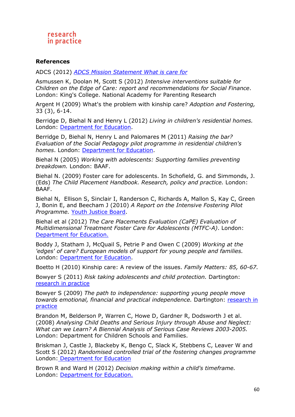#### **References**

ADCS (2012) *ADCS Mission Statement What is care for*

Asmussen K, Doolan M, Scott S (2012) *Intensive interventions suitable for Children on the Edge of Care: report and recommendations for Social Finance*. London: King's College. National Academy for Parenting Research

Argent H (2009) What's the problem with kinship care? *Adoption and Fostering,*  33 (3), 6-14.

Berridge D, Biehal N and Henry L (2012) *Living in children's residential homes.* London: Department for Education.

Berridge D, Biehal N, Henry L and Palomares M (2011) *Raising the bar? Evaluation of the Social Pedagogy pilot programme in residential children's homes*. London: Department for Education.

Biehal N (2005) *Working with adolescents: Supporting families preventing breakdown.* London: BAAF.

Biehal N. (2009) Foster care for adolescents. In Schofield, G. and Simmonds, J. (Eds) *The Child Placement Handbook. Research, policy and practice.* London: BAAF.

Biehal N, Ellison S, Sinclair I, Randerson C, Richards A, Mallon S, Kay C, Green J, Bonin E, and Beecham J (2010) *A Report on the Intensive Fostering Pilot Programme.* Youth Justice Board.

Biehal et al (2012) *The Care Placements Evaluation (CaPE) Evaluation of Multidimensional Treatment Foster Care for Adolescents (MTFC-A)*. London: Department for Education.

Boddy J, Statham J, McQuail S, Petrie P and Owen C (2009) *Working at the 'edges' of care? European models of support for young people and families.*  London: Department for Education.

Boetto H (2010) Kinship care: A review of the issues. *Family Matters: 85, 60-67.*

Bowyer S (2011) *Risk taking adolescents and child protection.* Dartington: research in practice

Bowyer S (2009) *The path to independence: supporting young people move towards emotional, financial and practical independence.* Dartington: research in practice

Brandon M, Belderson P, Warren C, Howe D, Gardner R, Dodsworth J et al. (2008) *Analysing Child Deaths and Serious Injury through Abuse and Neglect: What can we Learn? A Biennial Analysis of Serious Case Reviews 2003-2005.*  London: Department for Children Schools and Families.

Briskman J, Castle J, Blackeby K, Bengo C, Slack K, Stebbens C, Leaver W and Scott S (2012) *Randomised controlled trial of the fostering changes programme* London: Department for Education

Brown R and Ward H (2012) *Decision making within a child's timeframe.* London: Department for Education.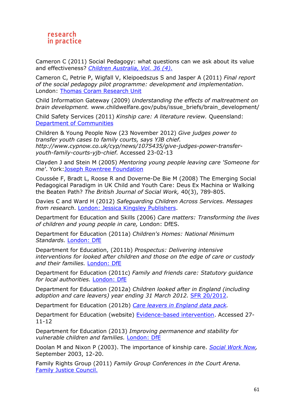Cameron C (2011) Social Pedagogy: what questions can we ask about its value and effectiveness? *Children Australia, Vol. 36 (4)*.

Cameron C, Petrie P, Wigfall V, Kleipoedszus S and Jasper A (2011) *Final report of the social pedagogy pilot programme: development and implementation*. London: Thomas Coram Research Unit

Child Information Gateway (2009) *Understanding the effects of maltreatment on brain development.* www.childwelfare.gov/pubs/issue\_briefs/brain\_development/

Child Safety Services (2011) *Kinship care: A literature review.* Queensland: Department of Communities

Children & Young People Now (23 November 2012) *Give judges power to transfer youth cases to family courts, says YJB chief. http://www.cypnow.co.uk/cyp/news/1075435/give-judges-power-transferyouth-family-courts-yjb-chief.* Accessed 23-02-13

Clayden J and Stein M (2005) *Mentoring young people leaving care 'Someone for me'*. York:Joseph Rowntree Foundation

Coussée F, Bradt L, Roose R and Doverne-De Bie M (2008) The Emerging Social Pedagogical Paradigm in UK Child and Youth Care: Deus Ex Machina or Walking the Beaten Path? *The British Journal of Social Work,* 40(3), 789-805.

Davies C and Ward H (2012) *Safeguarding Children Across Services. Messages from research*. London: Jessica Kingsley Publishers.

Department for Education and Skills (2006) *Care matters: Transforming the lives of children and young people in care,* London: DfES.

Department for Education (2011a) *Children's Homes: National Minimum Standards.* London: DfE

Department for Education, (2011b) *Prospectus: Delivering intensive interventions for looked after children and those on the edge of care or custody and their families.* London: DfE

Department for Education (2011c) *Family and friends care: Statutory guidance for local authorities.* London: DfE

Department for Education (2012a) *Children looked after in England (including adoption and care leavers) year ending 31 March 2012.* SFR 20/2012.

Department for Education (2012b) *Care leavers in England data pack.* 

Department for Education (website) Evidence-based intervention. Accessed 27- 11-12

Department for Education (2013) *Improving permanence and stability for vulnerable children and families.* London: DfE

Doolan M and Nixon P (2003). The importance of kinship care. *Social Work Now,*  September 2003, 12-20.

Family Rights Group (2011) *Family Group Conferences in the Court Arena.* Family Justice Council.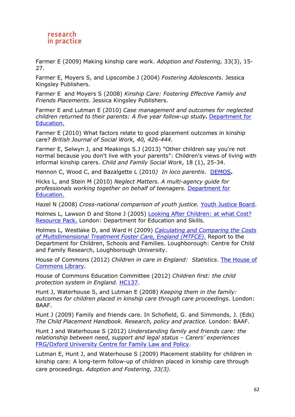Farmer E (2009) Making kinship care work. *Adoption and Fostering,* 33(3), 15- 27.

Farmer E, Moyers S, and Lipscombe J (2004) *Fostering Adolescents*. Jessica Kingsley Publishers.

Farmer E and Moyers S (2008) *Kinship Care: Fostering Effective Family and Friends Placements.* Jessica Kingsley Publishers.

Farmer E and Lutman E (2010) *Case management and outcomes for neglected children returned to their parents: A five year follow-up study.* Department for Education.

Farmer E (2010) What factors relate to good placement outcomes in kinship care? *British Journal of Social Work, 40, 426-444.* 

Farmer E, Selwyn J, and Meakings S.J (2013) "Other children say you're not normal because you don't live with your parents": Children's views of living with informal kinship carers. *Child and Family Social Work*, 18 (1), 25-34.

Hannon C, Wood C, and Bazalgette L (2010*) In loco parentis*. DEMOS**.** 

Hicks L, and Stein M (2010) *Neglect Matters. A multi-agency guide for professionals working together on behalf of teenagers.* Department for Education.

Hazel N (2008) *Cross-national comparison of youth justice.* Youth Justice Board.

Holmes L, Lawson D and Stone J (2005) Looking After Children: at what Cost? Resource Pack. London: Department for Education and Skills.

Holmes L, Westlake D, and Ward H (2009) *Calculating and Comparing the Costs of Multidimensional Treatment Foster Care, England (MTFCE)*. Report to the Department for Children, Schools and Families. Loughborough: Centre for Child and Family Research, Loughborough University.

House of Commons (2012) *Children in care in England: Statistics*. The House of Commons Library.

House of Commons Education Committee (2012) *Children first: the child protection system in England.* HC137.

Hunt J, Waterhouse S, and Lutman E (2008) *Keeping them in the family: outcomes for children placed in kinship care through care proceedings.* London: BAAF.

Hunt J (2009) Family and friends care. In Schofield, G. and Simmonds, J. (Eds) *The Child Placement Handbook. Research, policy and practice.* London: BAAF.

Hunt J and Waterhouse S (2012) *Understanding family and friends care: the relationship between need, support and legal status – Carers' experiences* FRG/Oxford University Centre for Family Law and Policy.

Lutman E, Hunt J, and Waterhouse S (2009) Placement stability for children in kinship care: A long-term follow-up of children placed in kinship care through care proceedings. *Adoption and Fostering, 33(3).*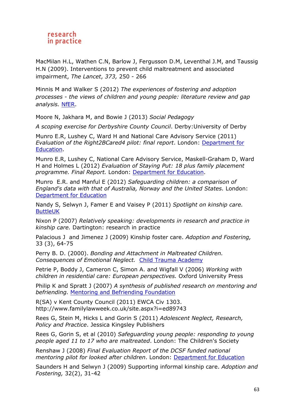MacMilan H.L, Wathen C.N, Barlow J, Fergusson D.M, Leventhal J.M, and Taussig H.N (2009). Interventions to prevent child maltreatment and associated impairment, *The Lancet*, *373,* 250 - 266

Minnis M and Walker S (2012) *The experiences of fostering and adoption processes - the views of children and young people: literature review and gap analysis.* NfER.

Moore N, Jakhara M, and Bowie J (2013) *Social Pedagogy* 

*A scoping exercise for Derbyshire County Council*. Derby:University of Derby

Munro E.R, Lushey C, Ward H and National Care Advisory Service (2011) *Evaluation of the Right2BCared4 pilot: final report*. London: Department for Education.

Munro E.R, Lushey C, National Care Advisory Service, Maskell-Graham D, Ward H and Holmes L (2012) *Evaluation of Staying Put: 18 plus family placement programme. Final Report.* London: Department for Education.

Munro E.R. and Manful E (2012) *Safeguarding children: a comparison of England's data with that of Australia, Norway and the United States.* London: Department for Education

Nandy S, Selwyn J, Famer E and Vaisey P (2011) *Spotlight on kinship care.* **ButtleUK** 

Nixon P (2007) *Relatively speaking: developments in research and practice in kinship care.* Dartington: research in practice

Palacious J and Jimenez J (2009) Kinship foster care. *Adoption and Fostering,*  33 (3), 64-75

Perry B. D. (2000). *Bonding and Attachment in Maltreated Children. Consequences of Emotional Neglect.* Child Trauma Academy

Petrie P, Boddy J, Cameron C, Simon A. and Wigfall V (2006) *Working with children in residential care: European perspectives.* Oxford University Press

Philip K and Spratt J (2007) *A synthesis of published research on mentoring and befriending.* Mentoring and Befriending Foundation

R(SA) v Kent County Council (2011) EWCA Civ 1303. http://www.familylawweek.co.uk/site.aspx?i=ed89743

Rees G, Stein M, Hicks L and Gorin S (2011) *Adolescent Neglect, Research, Policy and Practice*. Jessica Kingsley Publishers

Rees G, Gorin S, et al (2010) *Safeguarding young people: responding to young people aged 11 to 17 who are maltreated*. London: The Children's Society

Renshaw J (2008) *Final Evaluation Report of the DCSF funded national mentoring pilot for looked after children*. London: Department for Education

Saunders H and Selwyn J (2009) Supporting informal kinship care. *Adoption and Fostering,* 32(2), 31-42